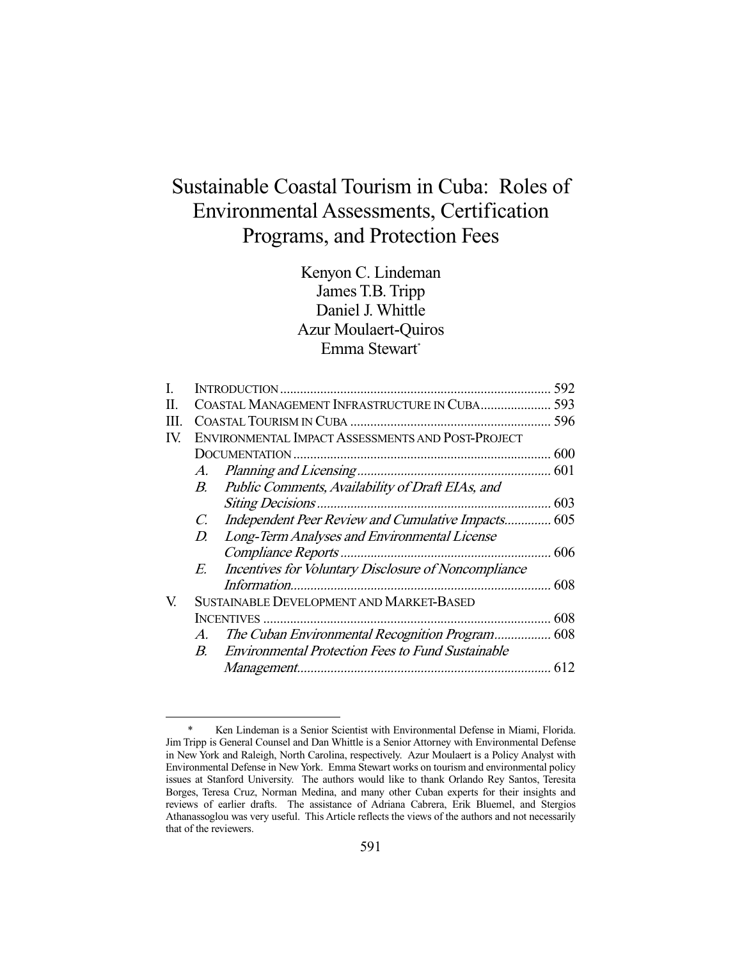# Sustainable Coastal Tourism in Cuba: Roles of Environmental Assessments, Certification Programs, and Protection Fees

Kenyon C. Lindeman James T.B. Tripp Daniel J. Whittle Azur Moulaert-Quiros Emma Stewart\*

|      |                                                   |                                                          | 592  |
|------|---------------------------------------------------|----------------------------------------------------------|------|
| П.   | COASTAL MANAGEMENT INFRASTRUCTURE IN CUBA         |                                                          |      |
| III. |                                                   |                                                          |      |
| IV.  | ENVIRONMENTAL IMPACT ASSESSMENTS AND POST-PROJECT |                                                          |      |
|      |                                                   |                                                          |      |
|      | A.                                                |                                                          |      |
|      | B.                                                | Public Comments, Availability of Draft EIAs, and         |      |
|      |                                                   |                                                          | 603  |
|      | C.                                                | Independent Peer Review and Cumulative Impacts 605       |      |
|      | D.                                                | Long-Term Analyses and Environmental License             |      |
|      |                                                   |                                                          | 606  |
|      | $E_{\cdot}$                                       | Incentives for Voluntary Disclosure of Noncompliance     |      |
|      |                                                   |                                                          | 608  |
| V.   | SUSTAINABLE DEVELOPMENT AND MARKET-BASED          |                                                          |      |
|      |                                                   |                                                          | 608  |
|      | $A_{\cdot}$                                       |                                                          |      |
|      | $B_{\cdot}$                                       | <b>Environmental Protection Fees to Fund Sustainable</b> |      |
|      |                                                   | Management                                               | .612 |
|      |                                                   |                                                          |      |

 <sup>\*</sup> Ken Lindeman is a Senior Scientist with Environmental Defense in Miami, Florida. Jim Tripp is General Counsel and Dan Whittle is a Senior Attorney with Environmental Defense in New York and Raleigh, North Carolina, respectively. Azur Moulaert is a Policy Analyst with Environmental Defense in New York. Emma Stewart works on tourism and environmental policy issues at Stanford University. The authors would like to thank Orlando Rey Santos, Teresita Borges, Teresa Cruz, Norman Medina, and many other Cuban experts for their insights and reviews of earlier drafts. The assistance of Adriana Cabrera, Erik Bluemel, and Stergios Athanassoglou was very useful. This Article reflects the views of the authors and not necessarily that of the reviewers.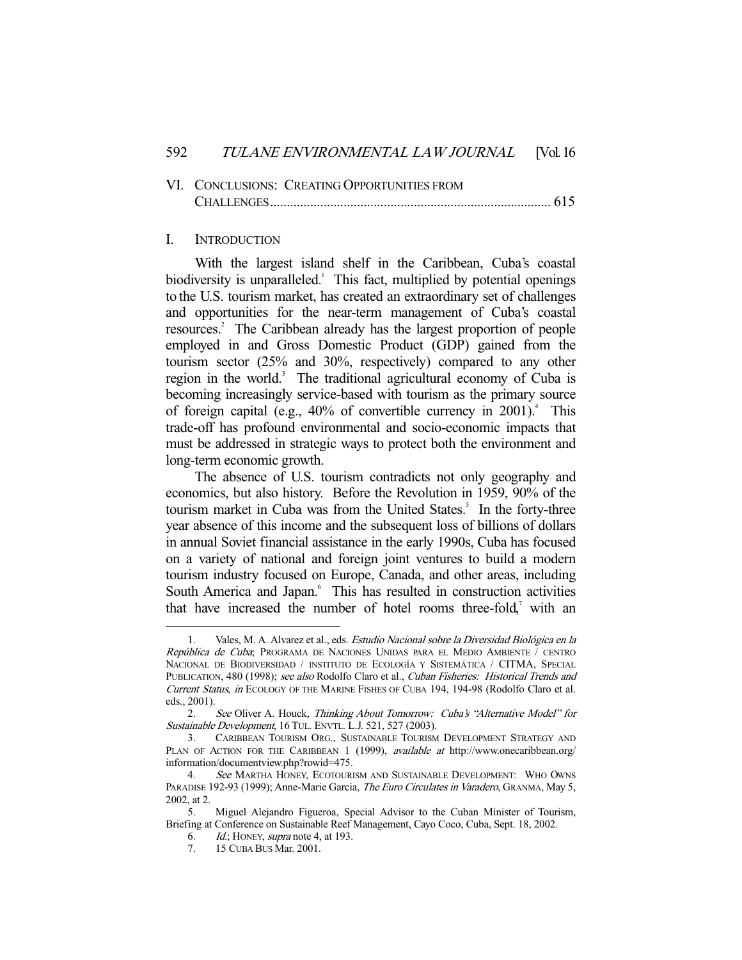| VI. CONCLUSIONS: CREATING OPPORTUNITIES FROM |  |
|----------------------------------------------|--|
|                                              |  |

#### I. INTRODUCTION

 With the largest island shelf in the Caribbean, Cuba's coastal biodiversity is unparalleled.<sup>1</sup> This fact, multiplied by potential openings to the U.S. tourism market, has created an extraordinary set of challenges and opportunities for the near-term management of Cuba's coastal resources.<sup>2</sup> The Caribbean already has the largest proportion of people employed in and Gross Domestic Product (GDP) gained from the tourism sector (25% and 30%, respectively) compared to any other region in the world.<sup>3</sup> The traditional agricultural economy of Cuba is becoming increasingly service-based with tourism as the primary source of foreign capital (e.g.,  $40\%$  of convertible currency in  $2001$ ).<sup>4</sup> This trade-off has profound environmental and socio-economic impacts that must be addressed in strategic ways to protect both the environment and long-term economic growth.

 The absence of U.S. tourism contradicts not only geography and economics, but also history. Before the Revolution in 1959, 90% of the tourism market in Cuba was from the United States.<sup>5</sup> In the forty-three year absence of this income and the subsequent loss of billions of dollars in annual Soviet financial assistance in the early 1990s, Cuba has focused on a variety of national and foreign joint ventures to build a modern tourism industry focused on Europe, Canada, and other areas, including South America and Japan.<sup>6</sup> This has resulted in construction activities that have increased the number of hotel rooms three-fold, $\alpha$  with an

 <sup>1.</sup> Vales, M. A. Alvarez et al., eds. Estudio Nacional sobre la Diversidad Biológica en la República de Cuba; PROGRAMA DE NACIONES UNIDAS PARA EL MEDIO AMBIENTE / CENTRO NACIONAL DE BIODIVERSIDAD / INSTITUTO DE ECOLOGÍA Y SISTEMÁTICA / CITMA, SPECIAL PUBLICATION, 480 (1998); see also Rodolfo Claro et al., Cuban Fisheries: Historical Trends and Current Status, in ECOLOGY OF THE MARINE FISHES OF CUBA 194, 194-98 (Rodolfo Claro et al. eds., 2001).

 <sup>2.</sup> See Oliver A. Houck, Thinking About Tomorrow: Cuba's "Alternative Model" for Sustainable Development, 16 TUL. ENVTL. L.J. 521, 527 (2003).

 <sup>3.</sup> CARIBBEAN TOURISM ORG., SUSTAINABLE TOURISM DEVELOPMENT STRATEGY AND PLAN OF ACTION FOR THE CARIBBEAN 1 (1999), *available at http://www.onecaribbean.org/* information/documentview.php?rowid=475.

<sup>4.</sup> See MARTHA HONEY, ECOTOURISM AND SUSTAINABLE DEVELOPMENT: WHO OWNS PARADISE 192-93 (1999); Anne-Marie Garcia, The Euro Circulates in Varadero, GRANMA, May 5, 2002, at 2.

 <sup>5.</sup> Miguel Alejandro Figueroa, Special Advisor to the Cuban Minister of Tourism, Briefing at Conference on Sustainable Reef Management, Cayo Coco, Cuba, Sept. 18, 2002.

<sup>6.</sup>  $Id$ ; HONEY, supra note 4, at 193.

 <sup>7. 15</sup> CUBA BUS Mar. 2001.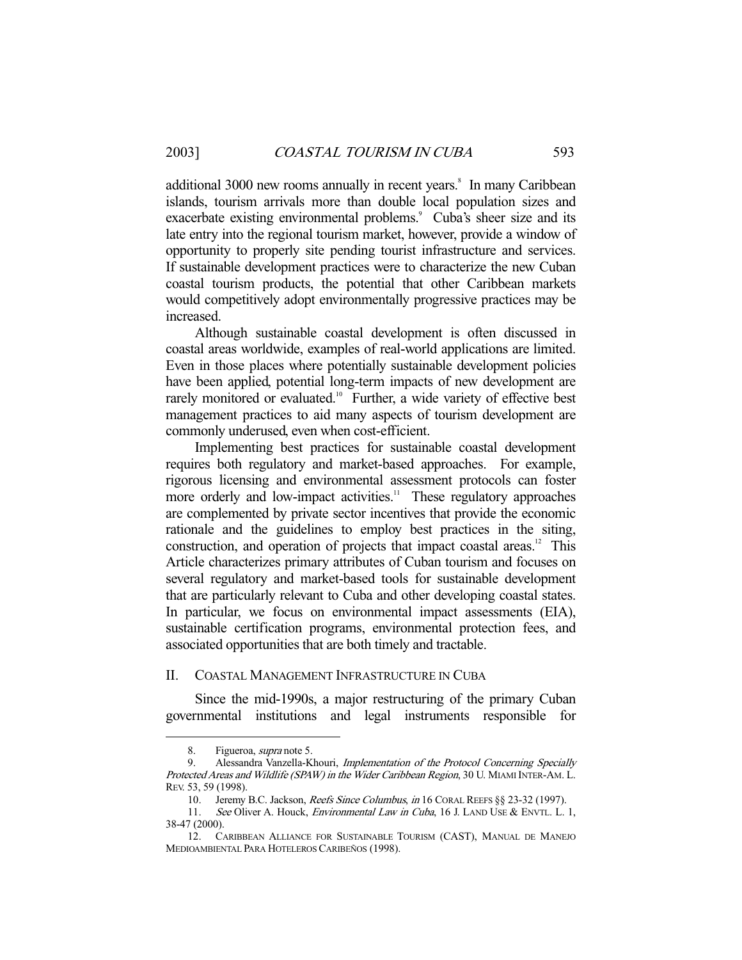additional 3000 new rooms annually in recent years.<sup>8</sup> In many Caribbean islands, tourism arrivals more than double local population sizes and exacerbate existing environmental problems.<sup>9</sup> Cuba's sheer size and its late entry into the regional tourism market, however, provide a window of opportunity to properly site pending tourist infrastructure and services. If sustainable development practices were to characterize the new Cuban coastal tourism products, the potential that other Caribbean markets would competitively adopt environmentally progressive practices may be increased.

 Although sustainable coastal development is often discussed in coastal areas worldwide, examples of real-world applications are limited. Even in those places where potentially sustainable development policies have been applied, potential long-term impacts of new development are rarely monitored or evaluated.<sup>10</sup> Further, a wide variety of effective best management practices to aid many aspects of tourism development are commonly underused, even when cost-efficient.

 Implementing best practices for sustainable coastal development requires both regulatory and market-based approaches. For example, rigorous licensing and environmental assessment protocols can foster more orderly and low-impact activities.<sup>11</sup> These regulatory approaches are complemented by private sector incentives that provide the economic rationale and the guidelines to employ best practices in the siting, construction, and operation of projects that impact coastal areas.<sup>12</sup> This Article characterizes primary attributes of Cuban tourism and focuses on several regulatory and market-based tools for sustainable development that are particularly relevant to Cuba and other developing coastal states. In particular, we focus on environmental impact assessments (EIA), sustainable certification programs, environmental protection fees, and associated opportunities that are both timely and tractable.

#### II. COASTAL MANAGEMENT INFRASTRUCTURE IN CUBA

 Since the mid-1990s, a major restructuring of the primary Cuban governmental institutions and legal instruments responsible for

 <sup>8.</sup> Figueroa, supra note 5.

 <sup>9.</sup> Alessandra Vanzella-Khouri, Implementation of the Protocol Concerning Specially Protected Areas and Wildlife (SPAW) in the Wider Caribbean Region, 30 U. MIAMI INTER-AM. L. REV. 53, 59 (1998).

<sup>10.</sup> Jeremy B.C. Jackson, Reefs Since Columbus, in 16 CORAL REEFS §§ 23-32 (1997).

<sup>11.</sup> See Oliver A. Houck, *Environmental Law in Cuba*, 16 J. LAND USE & ENVTL. L. 1, 38-47 (2000).

 <sup>12.</sup> CARIBBEAN ALLIANCE FOR SUSTAINABLE TOURISM (CAST), MANUAL DE MANEJO MEDIOAMBIENTAL PARA HOTELEROS CARIBEÑOS (1998).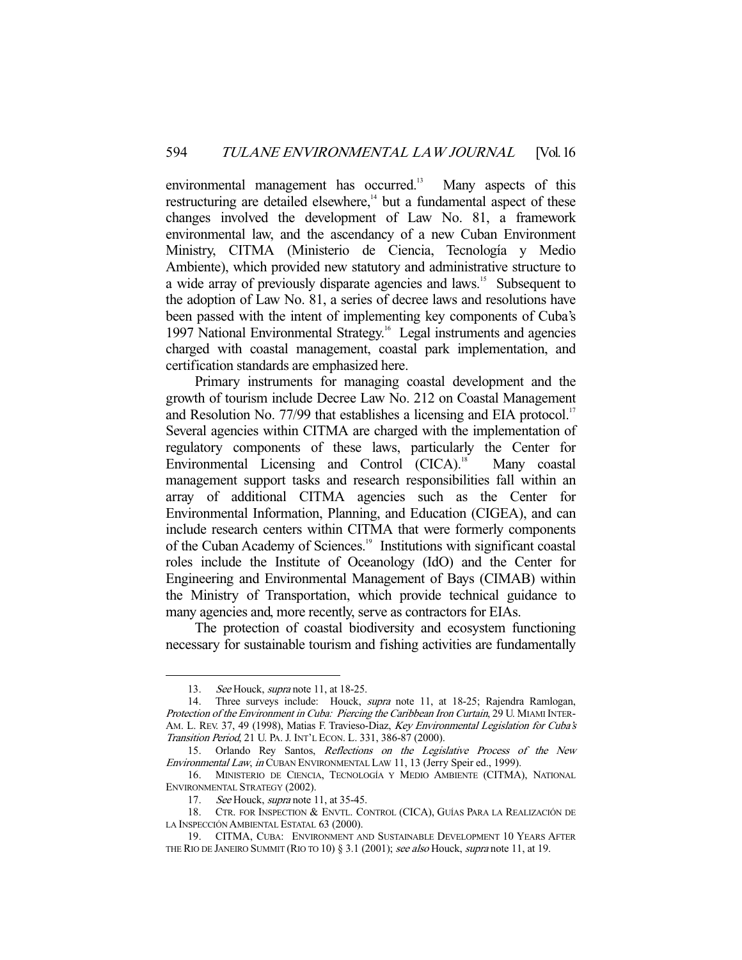environmental management has occurred.<sup>13</sup> Many aspects of this restructuring are detailed elsewhere,<sup>14</sup> but a fundamental aspect of these changes involved the development of Law No. 81, a framework environmental law, and the ascendancy of a new Cuban Environment Ministry, CITMA (Ministerio de Ciencia, Tecnología y Medio Ambiente), which provided new statutory and administrative structure to a wide array of previously disparate agencies and laws.<sup>15</sup> Subsequent to the adoption of Law No. 81, a series of decree laws and resolutions have been passed with the intent of implementing key components of Cuba's 1997 National Environmental Strategy.<sup>16</sup> Legal instruments and agencies charged with coastal management, coastal park implementation, and certification standards are emphasized here.

 Primary instruments for managing coastal development and the growth of tourism include Decree Law No. 212 on Coastal Management and Resolution No. 77/99 that establishes a licensing and EIA protocol.<sup>17</sup> Several agencies within CITMA are charged with the implementation of regulatory components of these laws, particularly the Center for Environmental Licensing and Control (CICA).<sup>18</sup> Many coastal management support tasks and research responsibilities fall within an array of additional CITMA agencies such as the Center for Environmental Information, Planning, and Education (CIGEA), and can include research centers within CITMA that were formerly components of the Cuban Academy of Sciences.<sup>19</sup> Institutions with significant coastal roles include the Institute of Oceanology (IdO) and the Center for Engineering and Environmental Management of Bays (CIMAB) within the Ministry of Transportation, which provide technical guidance to many agencies and, more recently, serve as contractors for EIAs.

 The protection of coastal biodiversity and ecosystem functioning necessary for sustainable tourism and fishing activities are fundamentally

<sup>13.</sup> See Houck, *supra* note 11, at 18-25.

<sup>14.</sup> Three surveys include: Houck, *supra* note 11, at 18-25; Rajendra Ramlogan, Protection of the Environment in Cuba: Piercing the Caribbean Iron Curtain, 29 U. MIAMI INTER-AM. L. REV. 37, 49 (1998), Matias F. Travieso-Diaz, Key Environmental Legislation for Cuba's Transition Period, 21 U. PA. J. INT'L ECON. L. 331, 386-87 (2000).

 <sup>15.</sup> Orlando Rey Santos, Reflections on the Legislative Process of the New Environmental Law, in CUBAN ENVIRONMENTAL LAW 11, 13 (Jerry Speir ed., 1999).

 <sup>16.</sup> MINISTERIO DE CIENCIA, TECNOLOGÍA Y MEDIO AMBIENTE (CITMA), NATIONAL ENVIRONMENTAL STRATEGY (2002).

<sup>17.</sup> See Houck, *supra* note 11, at 35-45.

 <sup>18.</sup> CTR. FOR INSPECTION & ENVTL. CONTROL (CICA), GUÍAS PARA LA REALIZACIÓN DE LA INSPECCIÓN AMBIENTAL ESTATAL 63 (2000).

 <sup>19.</sup> CITMA, CUBA: ENVIRONMENT AND SUSTAINABLE DEVELOPMENT 10 YEARS AFTER THE RIO DE JANEIRO SUMMIT (RIO TO 10) § 3.1 (2001); see also Houck, supra note 11, at 19.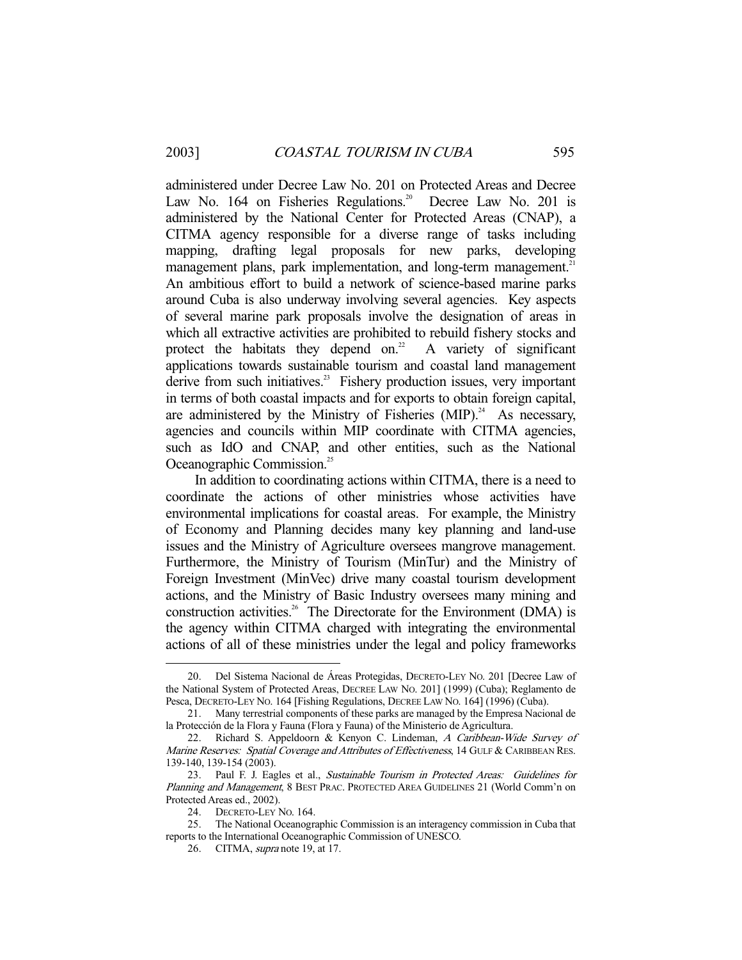administered under Decree Law No. 201 on Protected Areas and Decree Law No. 164 on Fisheries Regulations.<sup>20</sup> Decree Law No. 201 is administered by the National Center for Protected Areas (CNAP), a CITMA agency responsible for a diverse range of tasks including mapping, drafting legal proposals for new parks, developing management plans, park implementation, and long-term management.<sup>21</sup> An ambitious effort to build a network of science-based marine parks around Cuba is also underway involving several agencies. Key aspects of several marine park proposals involve the designation of areas in which all extractive activities are prohibited to rebuild fishery stocks and protect the habitats they depend on.<sup>22</sup> A variety of significant applications towards sustainable tourism and coastal land management derive from such initiatives. $23$  Fishery production issues, very important in terms of both coastal impacts and for exports to obtain foreign capital, are administered by the Ministry of Fisheries  $(MIP).<sup>24</sup>$  As necessary, agencies and councils within MIP coordinate with CITMA agencies, such as IdO and CNAP, and other entities, such as the National Oceanographic Commission.<sup>25</sup>

 In addition to coordinating actions within CITMA, there is a need to coordinate the actions of other ministries whose activities have environmental implications for coastal areas. For example, the Ministry of Economy and Planning decides many key planning and land-use issues and the Ministry of Agriculture oversees mangrove management. Furthermore, the Ministry of Tourism (MinTur) and the Ministry of Foreign Investment (MinVec) drive many coastal tourism development actions, and the Ministry of Basic Industry oversees many mining and construction activities.<sup>26</sup> The Directorate for the Environment (DMA) is the agency within CITMA charged with integrating the environmental actions of all of these ministries under the legal and policy frameworks

 <sup>20.</sup> Del Sistema Nacional de Áreas Protegidas, DECRETO-LEY NO. 201 [Decree Law of the National System of Protected Areas, DECREE LAW NO. 201] (1999) (Cuba); Reglamento de Pesca, DECRETO-LEY NO. 164 [Fishing Regulations, DECREE LAW NO. 164] (1996) (Cuba).

 <sup>21.</sup> Many terrestrial components of these parks are managed by the Empresa Nacional de la Protección de la Flora y Fauna (Flora y Fauna) of the Ministerio de Agricultura.

 <sup>22.</sup> Richard S. Appeldoorn & Kenyon C. Lindeman, A Caribbean-Wide Survey of Marine Reserves: Spatial Coverage and Attributes of Effectiveness, 14 GULF & CARIBBEAN RES. 139-140, 139-154 (2003).

 <sup>23.</sup> Paul F. J. Eagles et al., Sustainable Tourism in Protected Areas: Guidelines for Planning and Management, 8 BEST PRAC. PROTECTED AREA GUIDELINES 21 (World Comm'n on Protected Areas ed., 2002).

 <sup>24.</sup> DECRETO-LEY NO. 164.

 <sup>25.</sup> The National Oceanographic Commission is an interagency commission in Cuba that reports to the International Oceanographic Commission of UNESCO.

<sup>26.</sup> CITMA, *supra* note 19, at 17.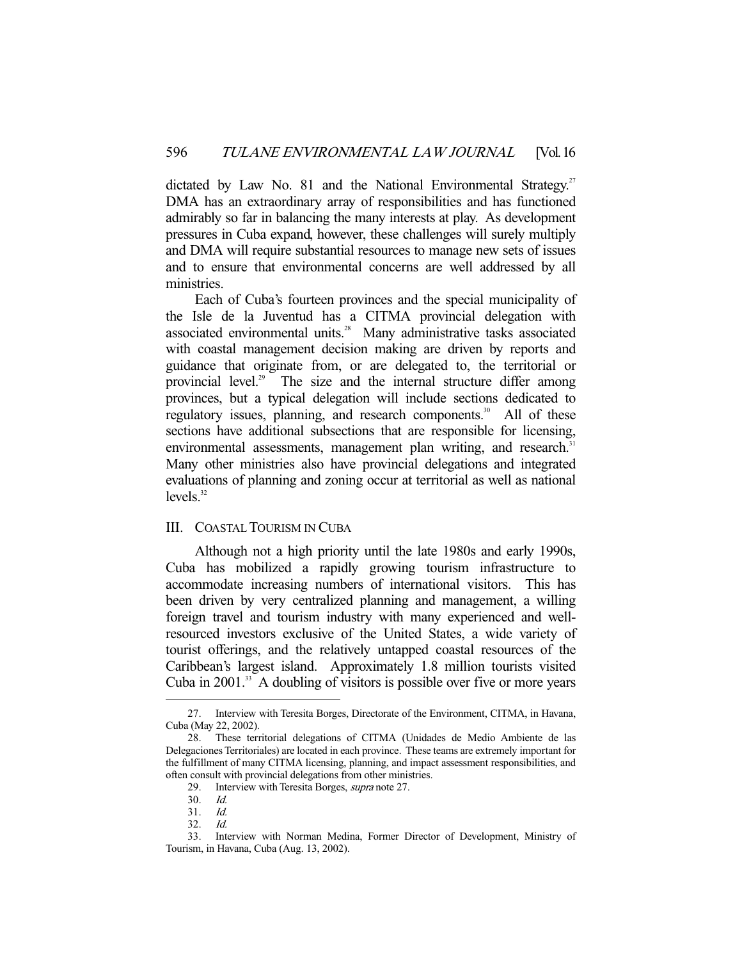dictated by Law No. 81 and the National Environmental Strategy.<sup>27</sup> DMA has an extraordinary array of responsibilities and has functioned admirably so far in balancing the many interests at play. As development pressures in Cuba expand, however, these challenges will surely multiply and DMA will require substantial resources to manage new sets of issues and to ensure that environmental concerns are well addressed by all ministries.

 Each of Cuba's fourteen provinces and the special municipality of the Isle de la Juventud has a CITMA provincial delegation with associated environmental units.<sup>28</sup> Many administrative tasks associated with coastal management decision making are driven by reports and guidance that originate from, or are delegated to, the territorial or provincial level.<sup>29</sup> The size and the internal structure differ among provinces, but a typical delegation will include sections dedicated to regulatory issues, planning, and research components.<sup>30</sup> All of these sections have additional subsections that are responsible for licensing, environmental assessments, management plan writing, and research.<sup>31</sup> Many other ministries also have provincial delegations and integrated evaluations of planning and zoning occur at territorial as well as national  $levels<sup>32</sup>$ 

#### III. COASTAL TOURISM IN CUBA

 Although not a high priority until the late 1980s and early 1990s, Cuba has mobilized a rapidly growing tourism infrastructure to accommodate increasing numbers of international visitors. This has been driven by very centralized planning and management, a willing foreign travel and tourism industry with many experienced and wellresourced investors exclusive of the United States, a wide variety of tourist offerings, and the relatively untapped coastal resources of the Caribbean's largest island. Approximately 1.8 million tourists visited Cuba in  $2001$ <sup>33</sup> A doubling of visitors is possible over five or more years

 <sup>27.</sup> Interview with Teresita Borges, Directorate of the Environment, CITMA, in Havana, Cuba (May 22, 2002).

 <sup>28.</sup> These territorial delegations of CITMA (Unidades de Medio Ambiente de las Delegaciones Territoriales) are located in each province. These teams are extremely important for the fulfillment of many CITMA licensing, planning, and impact assessment responsibilities, and often consult with provincial delegations from other ministries.

 <sup>29.</sup> Interview with Teresita Borges, supra note 27.

 <sup>30.</sup> Id.

 <sup>31.</sup> Id.

 <sup>32.</sup> Id.

 <sup>33.</sup> Interview with Norman Medina, Former Director of Development, Ministry of Tourism, in Havana, Cuba (Aug. 13, 2002).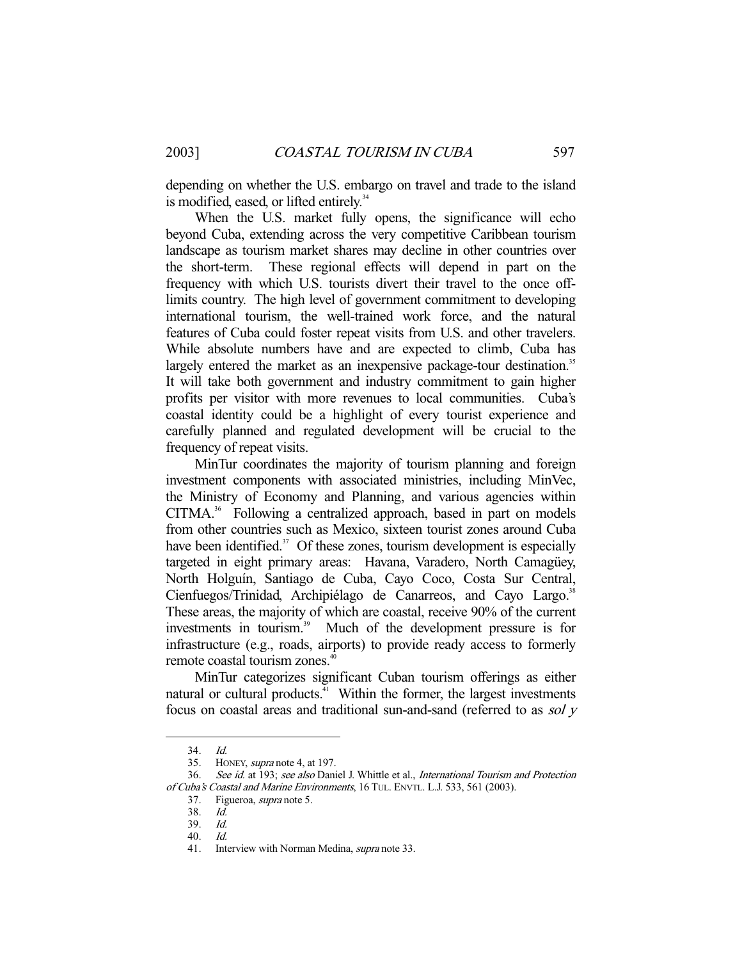depending on whether the U.S. embargo on travel and trade to the island is modified, eased, or lifted entirely.<sup>34</sup>

 When the U.S. market fully opens, the significance will echo beyond Cuba, extending across the very competitive Caribbean tourism landscape as tourism market shares may decline in other countries over the short-term. These regional effects will depend in part on the frequency with which U.S. tourists divert their travel to the once offlimits country. The high level of government commitment to developing international tourism, the well-trained work force, and the natural features of Cuba could foster repeat visits from U.S. and other travelers. While absolute numbers have and are expected to climb, Cuba has largely entered the market as an inexpensive package-tour destination.<sup>35</sup> It will take both government and industry commitment to gain higher profits per visitor with more revenues to local communities. Cuba's coastal identity could be a highlight of every tourist experience and carefully planned and regulated development will be crucial to the frequency of repeat visits.

 MinTur coordinates the majority of tourism planning and foreign investment components with associated ministries, including MinVec, the Ministry of Economy and Planning, and various agencies within CITMA.<sup>36</sup> Following a centralized approach, based in part on models from other countries such as Mexico, sixteen tourist zones around Cuba have been identified.<sup>37</sup> Of these zones, tourism development is especially targeted in eight primary areas: Havana, Varadero, North Camagüey, North Holguín, Santiago de Cuba, Cayo Coco, Costa Sur Central, Cienfuegos/Trinidad, Archipiélago de Canarreos, and Cayo Largo.<sup>38</sup> These areas, the majority of which are coastal, receive 90% of the current investments in tourism.<sup>39</sup> Much of the development pressure is for infrastructure (e.g., roads, airports) to provide ready access to formerly remote coastal tourism zones.<sup>40</sup>

 MinTur categorizes significant Cuban tourism offerings as either natural or cultural products.<sup>41</sup> Within the former, the largest investments focus on coastal areas and traditional sun-and-sand (referred to as sol y

 $34$   $1d$ 

 <sup>35.</sup> HONEY, supra note 4, at 197.

<sup>36.</sup> See id. at 193; see also Daniel J. Whittle et al., International Tourism and Protection of Cuba's Coastal and Marine Environments, 16 TUL. ENVTL. L.J. 533, 561 (2003).

<sup>37.</sup> Figueroa, *supra* note 5.

 <sup>38.</sup> Id.

 <sup>39.</sup> Id.

 <sup>40.</sup> Id.

<sup>41.</sup> Interview with Norman Medina, *supra* note 33.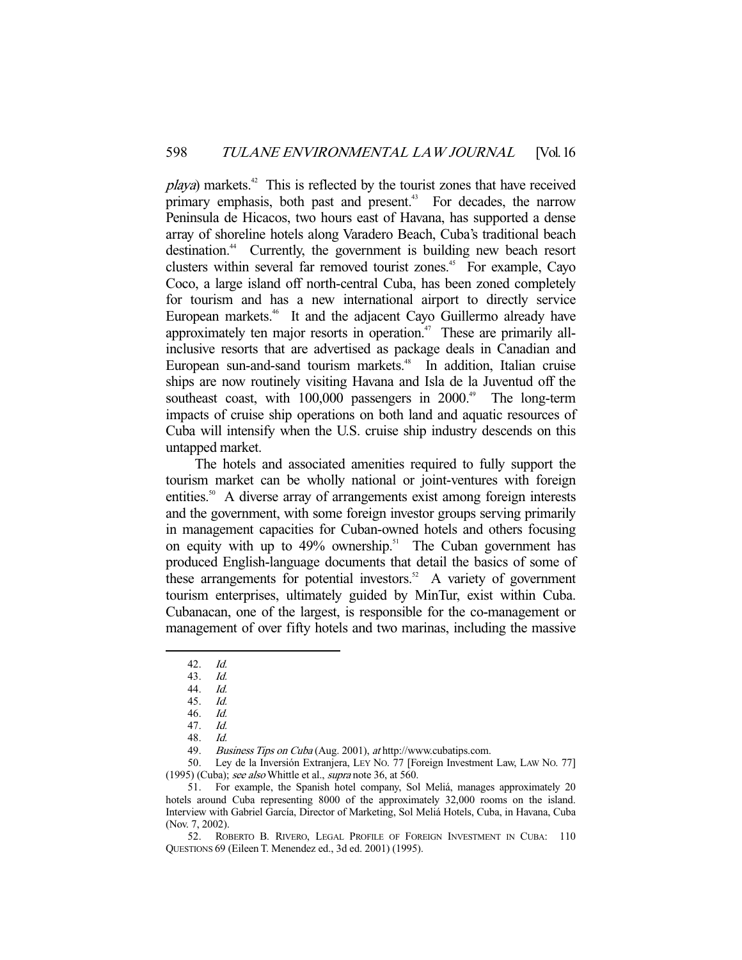$playa)$  markets.<sup>42</sup> This is reflected by the tourist zones that have received primary emphasis, both past and present.<sup> $43$ </sup> For decades, the narrow Peninsula de Hicacos, two hours east of Havana, has supported a dense array of shoreline hotels along Varadero Beach, Cuba's traditional beach destination.<sup>44</sup> Currently, the government is building new beach resort clusters within several far removed tourist zones.<sup>45</sup> For example, Cayo Coco, a large island off north-central Cuba, has been zoned completely for tourism and has a new international airport to directly service European markets.<sup>46</sup> It and the adjacent Cayo Guillermo already have approximately ten major resorts in operation.<sup>47</sup> These are primarily allinclusive resorts that are advertised as package deals in Canadian and European sun-and-sand tourism markets.<sup>48</sup> In addition, Italian cruise ships are now routinely visiting Havana and Isla de la Juventud off the southeast coast, with  $100,000$  passengers in  $2000.^{49}$  The long-term impacts of cruise ship operations on both land and aquatic resources of Cuba will intensify when the U.S. cruise ship industry descends on this untapped market.

 The hotels and associated amenities required to fully support the tourism market can be wholly national or joint-ventures with foreign entities.<sup>50</sup> A diverse array of arrangements exist among foreign interests and the government, with some foreign investor groups serving primarily in management capacities for Cuban-owned hotels and others focusing on equity with up to  $49\%$  ownership.<sup>51</sup> The Cuban government has produced English-language documents that detail the basics of some of these arrangements for potential investors.<sup>52</sup> A variety of government tourism enterprises, ultimately guided by MinTur, exist within Cuba. Cubanacan, one of the largest, is responsible for the co-management or management of over fifty hotels and two marinas, including the massive

-

49. Business Tips on Cuba (Aug. 2001), at http://www.cubatips.com.

 50. Ley de la Inversión Extranjera, LEY NO. 77 [Foreign Investment Law, LAW NO. 77] (1995) (Cuba); see also Whittle et al., supra note 36, at 560.

 51. For example, the Spanish hotel company, Sol Meliá, manages approximately 20 hotels around Cuba representing 8000 of the approximately 32,000 rooms on the island. Interview with Gabriel García, Director of Marketing, Sol Meliá Hotels, Cuba, in Havana, Cuba (Nov. 7, 2002).

 52. ROBERTO B. RIVERO, LEGAL PROFILE OF FOREIGN INVESTMENT IN CUBA: 110 QUESTIONS 69 (Eileen T. Menendez ed., 3d ed. 2001) (1995).

 <sup>42.</sup> Id.

 <sup>43.</sup> Id.

 <sup>44.</sup> Id. 45. Id.

 <sup>46.</sup> Id.

 <sup>47.</sup> Id.

 <sup>48.</sup> Id.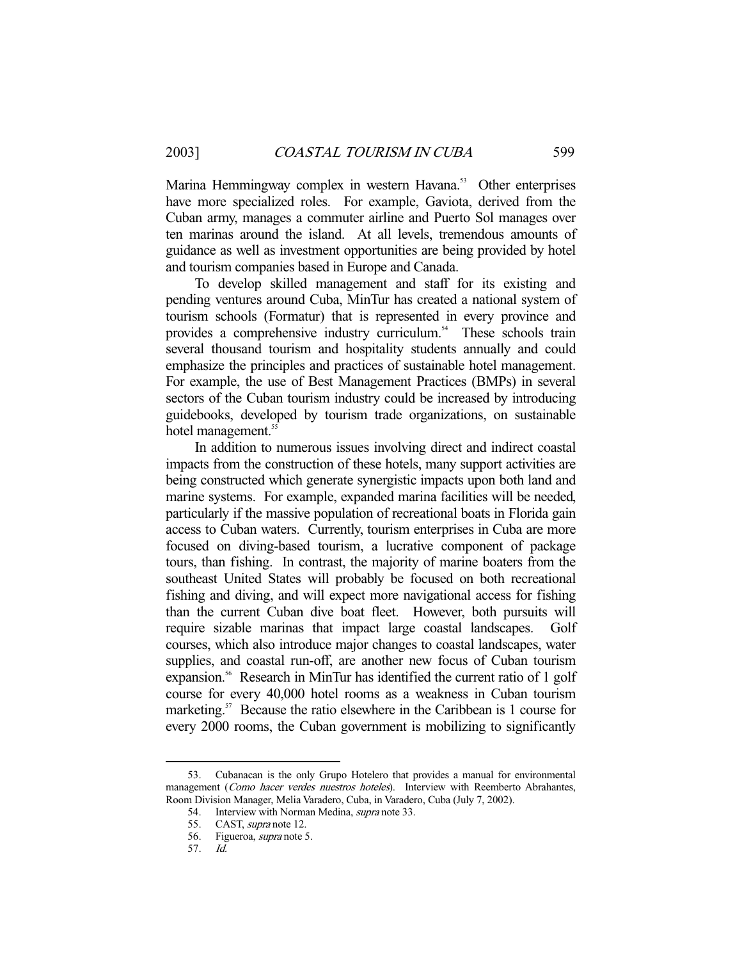Marina Hemmingway complex in western Havana.<sup>53</sup> Other enterprises have more specialized roles. For example, Gaviota, derived from the Cuban army, manages a commuter airline and Puerto Sol manages over ten marinas around the island. At all levels, tremendous amounts of guidance as well as investment opportunities are being provided by hotel and tourism companies based in Europe and Canada.

 To develop skilled management and staff for its existing and pending ventures around Cuba, MinTur has created a national system of tourism schools (Formatur) that is represented in every province and provides a comprehensive industry curriculum.<sup>54</sup> These schools train several thousand tourism and hospitality students annually and could emphasize the principles and practices of sustainable hotel management. For example, the use of Best Management Practices (BMPs) in several sectors of the Cuban tourism industry could be increased by introducing guidebooks, developed by tourism trade organizations, on sustainable hotel management.<sup>55</sup>

 In addition to numerous issues involving direct and indirect coastal impacts from the construction of these hotels, many support activities are being constructed which generate synergistic impacts upon both land and marine systems. For example, expanded marina facilities will be needed, particularly if the massive population of recreational boats in Florida gain access to Cuban waters. Currently, tourism enterprises in Cuba are more focused on diving-based tourism, a lucrative component of package tours, than fishing. In contrast, the majority of marine boaters from the southeast United States will probably be focused on both recreational fishing and diving, and will expect more navigational access for fishing than the current Cuban dive boat fleet. However, both pursuits will require sizable marinas that impact large coastal landscapes. Golf courses, which also introduce major changes to coastal landscapes, water supplies, and coastal run-off, are another new focus of Cuban tourism expansion.<sup>56</sup> Research in MinTur has identified the current ratio of 1 golf course for every 40,000 hotel rooms as a weakness in Cuban tourism marketing.<sup>57</sup> Because the ratio elsewhere in the Caribbean is 1 course for every 2000 rooms, the Cuban government is mobilizing to significantly

 <sup>53.</sup> Cubanacan is the only Grupo Hotelero that provides a manual for environmental management (Como hacer verdes nuestros hoteles). Interview with Reemberto Abrahantes, Room Division Manager, Melia Varadero, Cuba, in Varadero, Cuba (July 7, 2002).

<sup>54.</sup> Interview with Norman Medina, *supra* note 33.

<sup>55.</sup> CAST, *supra* note 12.

 <sup>56.</sup> Figueroa, supra note 5.

 <sup>57.</sup> Id.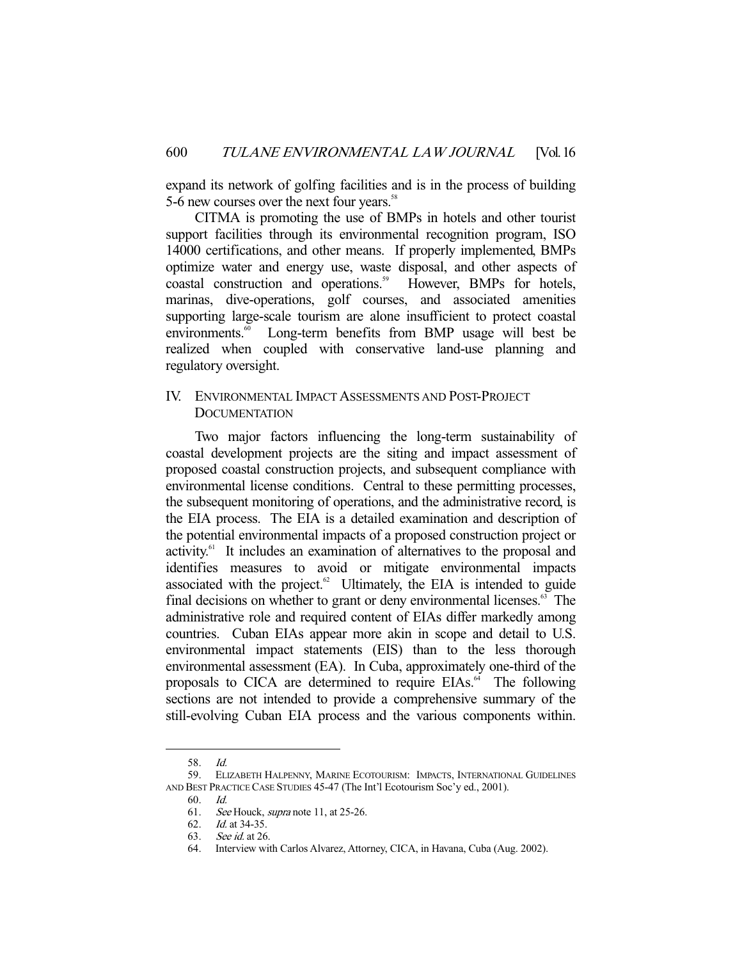expand its network of golfing facilities and is in the process of building 5-6 new courses over the next four years.<sup>58</sup>

 CITMA is promoting the use of BMPs in hotels and other tourist support facilities through its environmental recognition program, ISO 14000 certifications, and other means. If properly implemented, BMPs optimize water and energy use, waste disposal, and other aspects of coastal construction and operations.<sup>59</sup> However, BMPs for hotels, marinas, dive-operations, golf courses, and associated amenities supporting large-scale tourism are alone insufficient to protect coastal environments.<sup>60</sup> Long-term benefits from BMP usage will best be realized when coupled with conservative land-use planning and regulatory oversight.

## IV. ENVIRONMENTAL IMPACT ASSESSMENTS AND POST-PROJECT **DOCUMENTATION**

 Two major factors influencing the long-term sustainability of coastal development projects are the siting and impact assessment of proposed coastal construction projects, and subsequent compliance with environmental license conditions. Central to these permitting processes, the subsequent monitoring of operations, and the administrative record, is the EIA process. The EIA is a detailed examination and description of the potential environmental impacts of a proposed construction project or activity.61 It includes an examination of alternatives to the proposal and identifies measures to avoid or mitigate environmental impacts associated with the project. $62$  Ultimately, the EIA is intended to guide final decisions on whether to grant or deny environmental licenses.<sup>63</sup> The administrative role and required content of EIAs differ markedly among countries. Cuban EIAs appear more akin in scope and detail to U.S. environmental impact statements (EIS) than to the less thorough environmental assessment (EA). In Cuba, approximately one-third of the proposals to CICA are determined to require  $E\text{IAs}^{64}$ . The following sections are not intended to provide a comprehensive summary of the still-evolving Cuban EIA process and the various components within.

 <sup>58.</sup> Id.

 <sup>59.</sup> ELIZABETH HALPENNY, MARINE ECOTOURISM: IMPACTS, INTERNATIONAL GUIDELINES AND BEST PRACTICE CASE STUDIES 45-47 (The Int'l Ecotourism Soc'y ed., 2001).

 <sup>60.</sup> Id.

 <sup>61.</sup> See Houck, supra note 11, at 25-26.

 <sup>62.</sup> Id. at 34-35.

 <sup>63.</sup> See id. at 26.

 <sup>64.</sup> Interview with Carlos Alvarez, Attorney, CICA, in Havana, Cuba (Aug. 2002).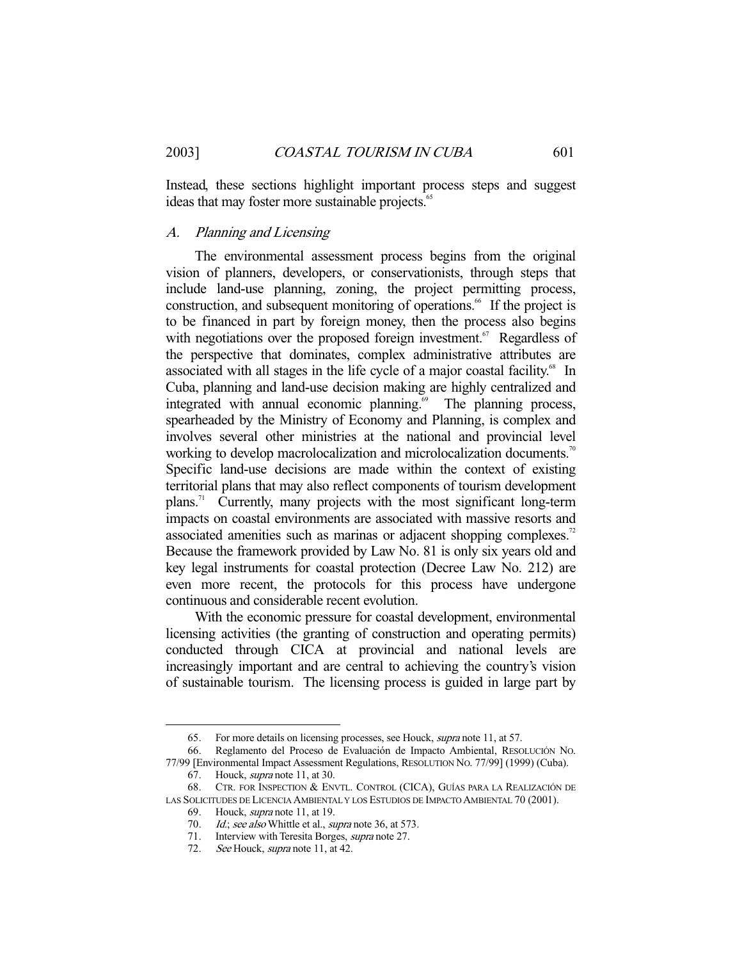Instead, these sections highlight important process steps and suggest ideas that may foster more sustainable projects.<sup>65</sup>

## A. Planning and Licensing

 The environmental assessment process begins from the original vision of planners, developers, or conservationists, through steps that include land-use planning, zoning, the project permitting process, construction, and subsequent monitoring of operations.<sup>66</sup> If the project is to be financed in part by foreign money, then the process also begins with negotiations over the proposed foreign investment.<sup> $67$ </sup> Regardless of the perspective that dominates, complex administrative attributes are associated with all stages in the life cycle of a major coastal facility.<sup>68</sup> In Cuba, planning and land-use decision making are highly centralized and integrated with annual economic planning.<sup>69</sup> The planning process, spearheaded by the Ministry of Economy and Planning, is complex and involves several other ministries at the national and provincial level working to develop macrolocalization and microlocalization documents.<sup>70</sup> Specific land-use decisions are made within the context of existing territorial plans that may also reflect components of tourism development plans.71 Currently, many projects with the most significant long-term impacts on coastal environments are associated with massive resorts and associated amenities such as marinas or adjacent shopping complexes.<sup>72</sup> Because the framework provided by Law No. 81 is only six years old and key legal instruments for coastal protection (Decree Law No. 212) are even more recent, the protocols for this process have undergone continuous and considerable recent evolution.

 With the economic pressure for coastal development, environmental licensing activities (the granting of construction and operating permits) conducted through CICA at provincial and national levels are increasingly important and are central to achieving the country's vision of sustainable tourism. The licensing process is guided in large part by

 <sup>65.</sup> For more details on licensing processes, see Houck, supra note 11, at 57.

 <sup>66.</sup> Reglamento del Proceso de Evaluación de Impacto Ambiental, RESOLUCIÓN NO. 77/99 [Environmental Impact Assessment Regulations, RESOLUTION NO. 77/99] (1999) (Cuba).

 <sup>67.</sup> Houck, supra note 11, at 30.

 <sup>68.</sup> CTR. FOR INSPECTION & ENVTL. CONTROL (CICA), GUÍAS PARA LA REALIZACIÓN DE LAS SOLICITUDES DE LICENCIA AMBIENTAL Y LOS ESTUDIOS DE IMPACTO AMBIENTAL 70 (2001).

 <sup>69.</sup> Houck, supra note 11, at 19.

<sup>70.</sup> Id.; see also Whittle et al., supra note 36, at 573.

 <sup>71.</sup> Interview with Teresita Borges, supra note 27.

<sup>72.</sup> See Houck, supra note 11, at 42.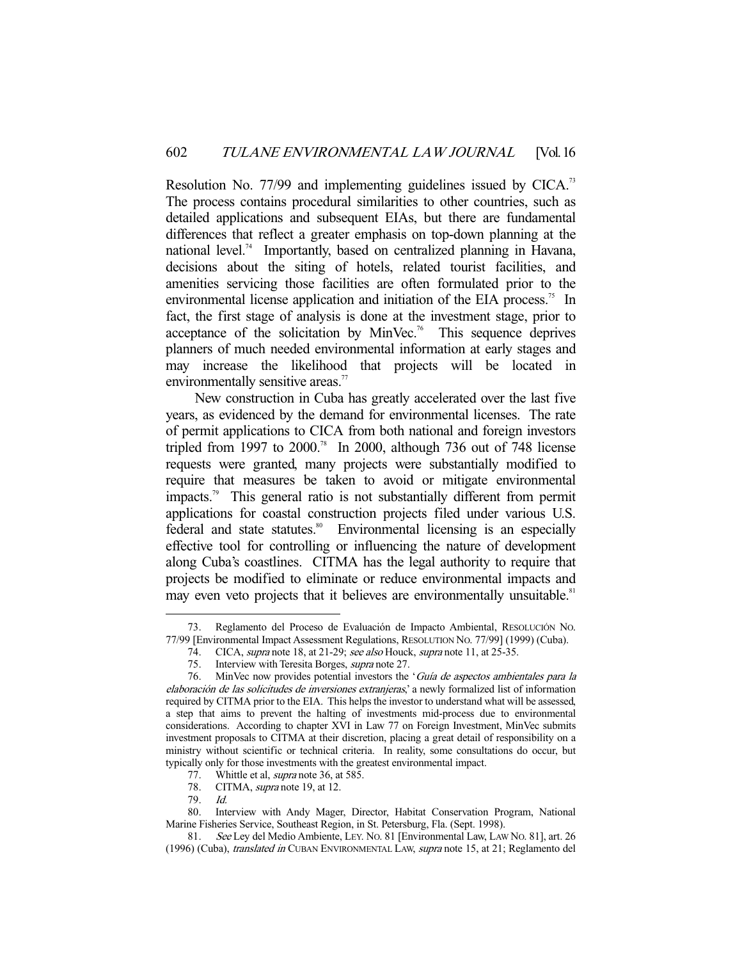Resolution No. 77/99 and implementing guidelines issued by CICA.<sup>73</sup> The process contains procedural similarities to other countries, such as detailed applications and subsequent EIAs, but there are fundamental differences that reflect a greater emphasis on top-down planning at the national level.<sup>74</sup> Importantly, based on centralized planning in Havana, decisions about the siting of hotels, related tourist facilities, and amenities servicing those facilities are often formulated prior to the environmental license application and initiation of the EIA process.<sup>75</sup> In fact, the first stage of analysis is done at the investment stage, prior to acceptance of the solicitation by MinVec.<sup>76</sup> This sequence deprives planners of much needed environmental information at early stages and may increase the likelihood that projects will be located in environmentally sensitive areas.<sup>77</sup>

 New construction in Cuba has greatly accelerated over the last five years, as evidenced by the demand for environmental licenses. The rate of permit applications to CICA from both national and foreign investors tripled from 1997 to 2000.<sup>78</sup> In 2000, although 736 out of 748 license requests were granted, many projects were substantially modified to require that measures be taken to avoid or mitigate environmental impacts.79 This general ratio is not substantially different from permit applications for coastal construction projects filed under various U.S. federal and state statutes.<sup>80</sup> Environmental licensing is an especially effective tool for controlling or influencing the nature of development along Cuba's coastlines. CITMA has the legal authority to require that projects be modified to eliminate or reduce environmental impacts and may even veto projects that it believes are environmentally unsuitable.<sup>81</sup>

- 78. CITMA, *supra* note 19, at 12.
- 79. Id.

 <sup>73.</sup> Reglamento del Proceso de Evaluación de Impacto Ambiental, RESOLUCIÓN NO. 77/99 [Environmental Impact Assessment Regulations, RESOLUTION NO. 77/99] (1999) (Cuba).

<sup>74.</sup> CICA, supra note 18, at 21-29; see also Houck, supra note 11, at 25-35.

<sup>75.</sup> Interview with Teresita Borges, supra note 27.

 <sup>76.</sup> MinVec now provides potential investors the 'Guía de aspectos ambientales para la elaboración de las solicitudes de inversiones extranjeras,' a newly formalized list of information required by CITMA prior to the EIA. This helps the investor to understand what will be assessed, a step that aims to prevent the halting of investments mid-process due to environmental considerations. According to chapter XVI in Law 77 on Foreign Investment, MinVec submits investment proposals to CITMA at their discretion, placing a great detail of responsibility on a ministry without scientific or technical criteria. In reality, some consultations do occur, but typically only for those investments with the greatest environmental impact.<br>77. Whittle et al, *supra* note 36, at 585.

Whittle et al, *supra* note 36, at 585.

 <sup>80.</sup> Interview with Andy Mager, Director, Habitat Conservation Program, National Marine Fisheries Service, Southeast Region, in St. Petersburg, Fla. (Sept. 1998).

 <sup>81.</sup> See Ley del Medio Ambiente, LEY. NO. 81 [Environmental Law, LAW NO. 81], art. 26 (1996) (Cuba), translated in CUBAN ENVIRONMENTAL LAW, supra note 15, at 21; Reglamento del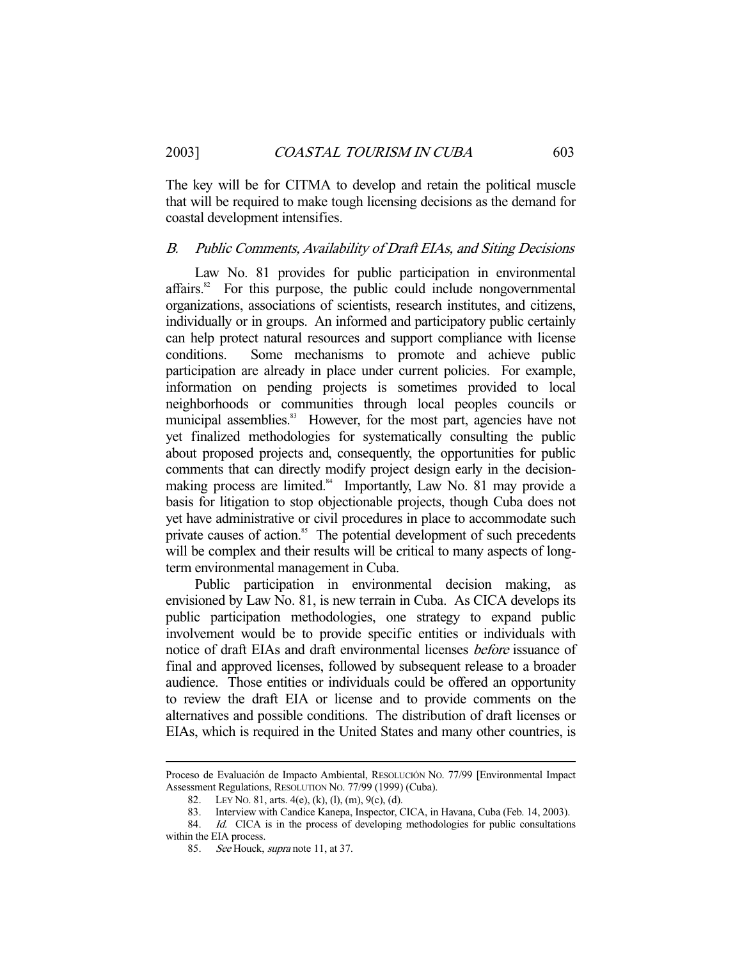The key will be for CITMA to develop and retain the political muscle that will be required to make tough licensing decisions as the demand for coastal development intensifies.

#### B. Public Comments, Availability of Draft EIAs, and Siting Decisions

 Law No. 81 provides for public participation in environmental  $affairs<sup>82</sup>$  For this purpose, the public could include nongovernmental organizations, associations of scientists, research institutes, and citizens, individually or in groups. An informed and participatory public certainly can help protect natural resources and support compliance with license conditions. Some mechanisms to promote and achieve public participation are already in place under current policies. For example, information on pending projects is sometimes provided to local neighborhoods or communities through local peoples councils or municipal assemblies.<sup>83</sup> However, for the most part, agencies have not yet finalized methodologies for systematically consulting the public about proposed projects and, consequently, the opportunities for public comments that can directly modify project design early in the decisionmaking process are limited.<sup>84</sup> Importantly, Law No. 81 may provide a basis for litigation to stop objectionable projects, though Cuba does not yet have administrative or civil procedures in place to accommodate such private causes of action.<sup>85</sup> The potential development of such precedents will be complex and their results will be critical to many aspects of longterm environmental management in Cuba.

 Public participation in environmental decision making, as envisioned by Law No. 81, is new terrain in Cuba. As CICA develops its public participation methodologies, one strategy to expand public involvement would be to provide specific entities or individuals with notice of draft EIAs and draft environmental licenses before issuance of final and approved licenses, followed by subsequent release to a broader audience. Those entities or individuals could be offered an opportunity to review the draft EIA or license and to provide comments on the alternatives and possible conditions. The distribution of draft licenses or EIAs, which is required in the United States and many other countries, is

Proceso de Evaluación de Impacto Ambiental, RESOLUCIÓN NO. 77/99 [Environmental Impact Assessment Regulations, RESOLUTION NO. 77/99 (1999) (Cuba).

 <sup>82.</sup> LEY NO. 81, arts. 4(e), (k), (l), (m), 9(c), (d).

 <sup>83.</sup> Interview with Candice Kanepa, Inspector, CICA, in Havana, Cuba (Feb. 14, 2003).

<sup>84.</sup> Id. CICA is in the process of developing methodologies for public consultations within the EIA process.

<sup>85.</sup> See Houck, supra note 11, at 37.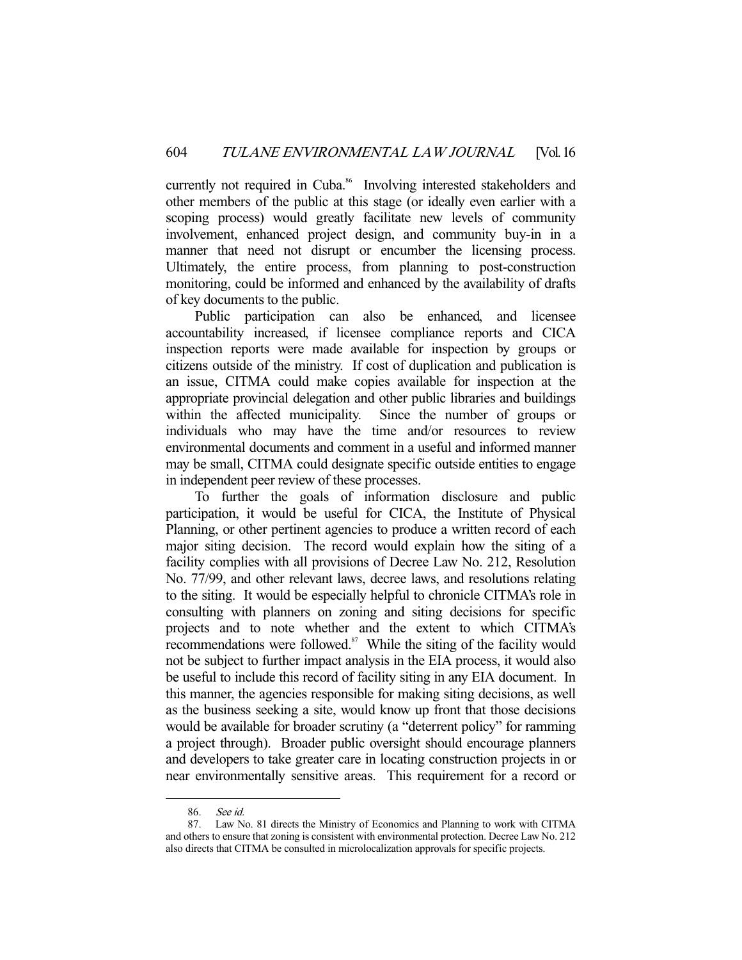currently not required in Cuba.<sup>86</sup> Involving interested stakeholders and other members of the public at this stage (or ideally even earlier with a scoping process) would greatly facilitate new levels of community involvement, enhanced project design, and community buy-in in a manner that need not disrupt or encumber the licensing process. Ultimately, the entire process, from planning to post-construction monitoring, could be informed and enhanced by the availability of drafts of key documents to the public.

 Public participation can also be enhanced, and licensee accountability increased, if licensee compliance reports and CICA inspection reports were made available for inspection by groups or citizens outside of the ministry. If cost of duplication and publication is an issue, CITMA could make copies available for inspection at the appropriate provincial delegation and other public libraries and buildings within the affected municipality. Since the number of groups or individuals who may have the time and/or resources to review environmental documents and comment in a useful and informed manner may be small, CITMA could designate specific outside entities to engage in independent peer review of these processes.

 To further the goals of information disclosure and public participation, it would be useful for CICA, the Institute of Physical Planning, or other pertinent agencies to produce a written record of each major siting decision. The record would explain how the siting of a facility complies with all provisions of Decree Law No. 212, Resolution No. 77/99, and other relevant laws, decree laws, and resolutions relating to the siting. It would be especially helpful to chronicle CITMA's role in consulting with planners on zoning and siting decisions for specific projects and to note whether and the extent to which CITMA's recommendations were followed. $87$  While the siting of the facility would not be subject to further impact analysis in the EIA process, it would also be useful to include this record of facility siting in any EIA document. In this manner, the agencies responsible for making siting decisions, as well as the business seeking a site, would know up front that those decisions would be available for broader scrutiny (a "deterrent policy" for ramming a project through). Broader public oversight should encourage planners and developers to take greater care in locating construction projects in or near environmentally sensitive areas. This requirement for a record or

 <sup>86.</sup> See id.

 <sup>87.</sup> Law No. 81 directs the Ministry of Economics and Planning to work with CITMA and others to ensure that zoning is consistent with environmental protection. Decree Law No. 212 also directs that CITMA be consulted in microlocalization approvals for specific projects.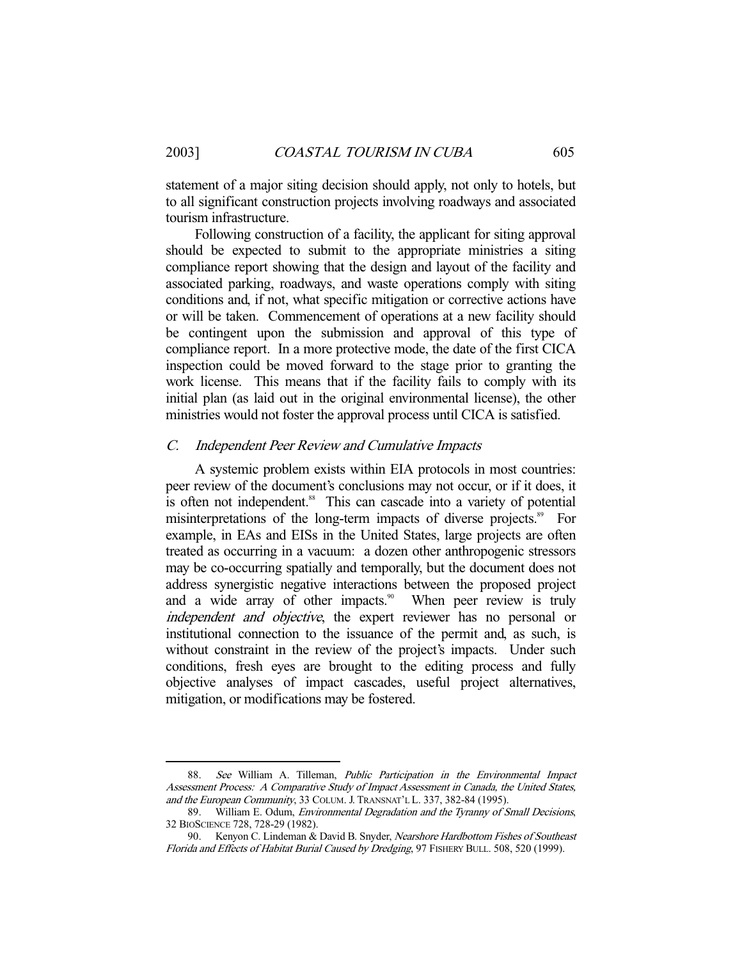statement of a major siting decision should apply, not only to hotels, but to all significant construction projects involving roadways and associated tourism infrastructure.

 Following construction of a facility, the applicant for siting approval should be expected to submit to the appropriate ministries a siting compliance report showing that the design and layout of the facility and associated parking, roadways, and waste operations comply with siting conditions and, if not, what specific mitigation or corrective actions have or will be taken. Commencement of operations at a new facility should be contingent upon the submission and approval of this type of compliance report. In a more protective mode, the date of the first CICA inspection could be moved forward to the stage prior to granting the work license. This means that if the facility fails to comply with its initial plan (as laid out in the original environmental license), the other ministries would not foster the approval process until CICA is satisfied.

#### C. Independent Peer Review and Cumulative Impacts

 A systemic problem exists within EIA protocols in most countries: peer review of the document's conclusions may not occur, or if it does, it is often not independent.<sup>88</sup> This can cascade into a variety of potential misinterpretations of the long-term impacts of diverse projects.<sup>89</sup> For example, in EAs and EISs in the United States, large projects are often treated as occurring in a vacuum: a dozen other anthropogenic stressors may be co-occurring spatially and temporally, but the document does not address synergistic negative interactions between the proposed project and a wide array of other impacts.<sup>90</sup> When peer review is truly independent and objective, the expert reviewer has no personal or institutional connection to the issuance of the permit and, as such, is without constraint in the review of the project's impacts. Under such conditions, fresh eyes are brought to the editing process and fully objective analyses of impact cascades, useful project alternatives, mitigation, or modifications may be fostered.

 <sup>88.</sup> See William A. Tilleman, Public Participation in the Environmental Impact Assessment Process: A Comparative Study of Impact Assessment in Canada, the United States, and the European Community, 33 COLUM. J. TRANSNAT'L L. 337, 382-84 (1995).

<sup>89.</sup> William E. Odum, *Environmental Degradation and the Tyranny of Small Decisions*, 32 BIOSCIENCE 728, 728-29 (1982).

<sup>90.</sup> Kenyon C. Lindeman & David B. Snyder, Nearshore Hardbottom Fishes of Southeast Florida and Effects of Habitat Burial Caused by Dredging, 97 FISHERY BULL. 508, 520 (1999).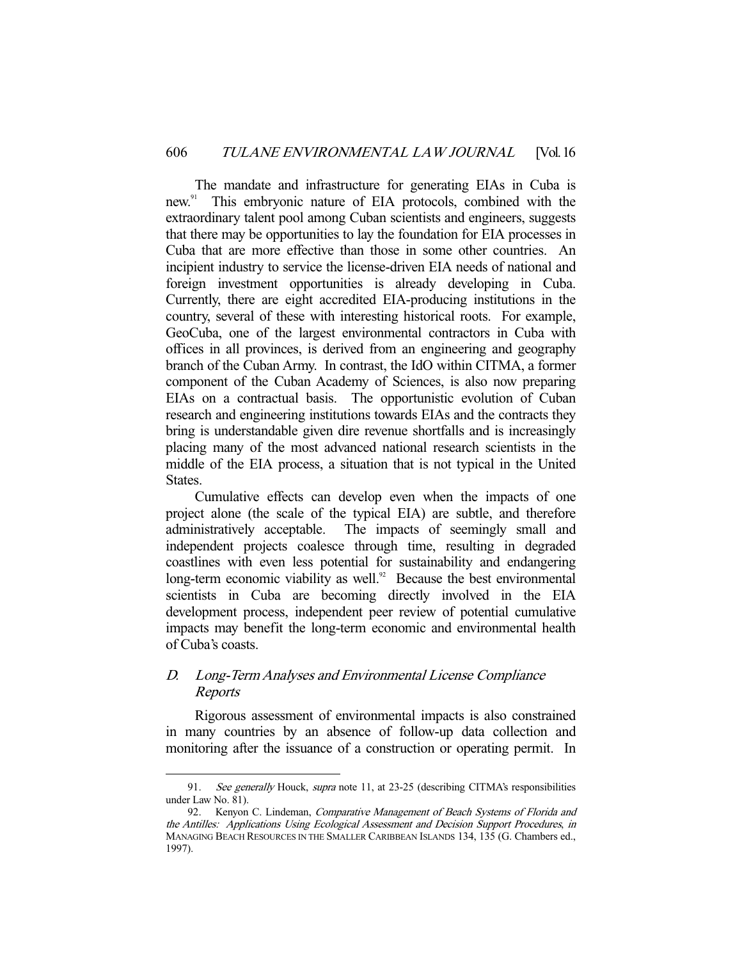The mandate and infrastructure for generating EIAs in Cuba is new.<sup>91</sup> This embryonic nature of EIA protocols, combined with the extraordinary talent pool among Cuban scientists and engineers, suggests that there may be opportunities to lay the foundation for EIA processes in Cuba that are more effective than those in some other countries. An incipient industry to service the license-driven EIA needs of national and foreign investment opportunities is already developing in Cuba. Currently, there are eight accredited EIA-producing institutions in the country, several of these with interesting historical roots. For example, GeoCuba, one of the largest environmental contractors in Cuba with offices in all provinces, is derived from an engineering and geography branch of the Cuban Army. In contrast, the IdO within CITMA, a former component of the Cuban Academy of Sciences, is also now preparing EIAs on a contractual basis. The opportunistic evolution of Cuban research and engineering institutions towards EIAs and the contracts they bring is understandable given dire revenue shortfalls and is increasingly placing many of the most advanced national research scientists in the middle of the EIA process, a situation that is not typical in the United States.

 Cumulative effects can develop even when the impacts of one project alone (the scale of the typical EIA) are subtle, and therefore administratively acceptable. The impacts of seemingly small and independent projects coalesce through time, resulting in degraded coastlines with even less potential for sustainability and endangering long-term economic viability as well. $92$  Because the best environmental scientists in Cuba are becoming directly involved in the EIA development process, independent peer review of potential cumulative impacts may benefit the long-term economic and environmental health of Cuba's coasts.

## D. Long-Term Analyses and Environmental License Compliance Reports

-

 Rigorous assessment of environmental impacts is also constrained in many countries by an absence of follow-up data collection and monitoring after the issuance of a construction or operating permit. In

<sup>91.</sup> See generally Houck, supra note 11, at 23-25 (describing CITMA's responsibilities under Law No. 81).

<sup>92.</sup> Kenyon C. Lindeman, Comparative Management of Beach Systems of Florida and the Antilles: Applications Using Ecological Assessment and Decision Support Procedures, in MANAGING BEACH RESOURCES IN THE SMALLER CARIBBEAN ISLANDS 134, 135 (G. Chambers ed., 1997).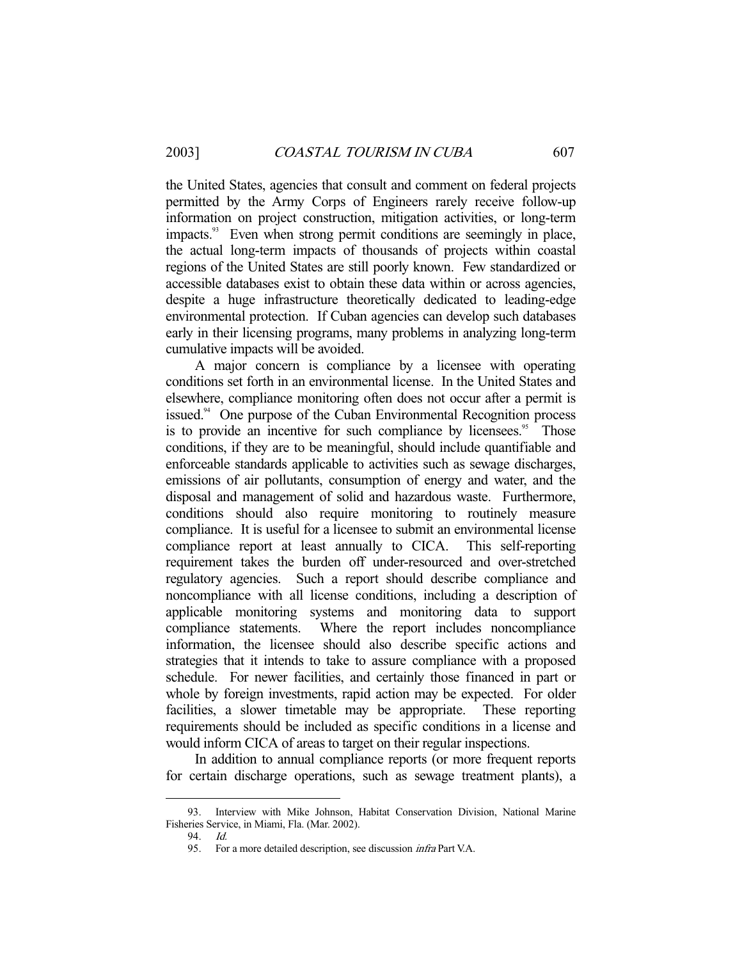the United States, agencies that consult and comment on federal projects permitted by the Army Corps of Engineers rarely receive follow-up information on project construction, mitigation activities, or long-term impacts.<sup>93</sup> Even when strong permit conditions are seemingly in place, the actual long-term impacts of thousands of projects within coastal regions of the United States are still poorly known. Few standardized or accessible databases exist to obtain these data within or across agencies, despite a huge infrastructure theoretically dedicated to leading-edge environmental protection. If Cuban agencies can develop such databases early in their licensing programs, many problems in analyzing long-term cumulative impacts will be avoided.

 A major concern is compliance by a licensee with operating conditions set forth in an environmental license. In the United States and elsewhere, compliance monitoring often does not occur after a permit is issued.<sup>94</sup> One purpose of the Cuban Environmental Recognition process is to provide an incentive for such compliance by licensees.<sup>95</sup> Those conditions, if they are to be meaningful, should include quantifiable and enforceable standards applicable to activities such as sewage discharges, emissions of air pollutants, consumption of energy and water, and the disposal and management of solid and hazardous waste. Furthermore, conditions should also require monitoring to routinely measure compliance. It is useful for a licensee to submit an environmental license compliance report at least annually to CICA. This self-reporting requirement takes the burden off under-resourced and over-stretched regulatory agencies. Such a report should describe compliance and noncompliance with all license conditions, including a description of applicable monitoring systems and monitoring data to support compliance statements. Where the report includes noncompliance information, the licensee should also describe specific actions and strategies that it intends to take to assure compliance with a proposed schedule. For newer facilities, and certainly those financed in part or whole by foreign investments, rapid action may be expected. For older facilities, a slower timetable may be appropriate. These reporting requirements should be included as specific conditions in a license and would inform CICA of areas to target on their regular inspections.

 In addition to annual compliance reports (or more frequent reports for certain discharge operations, such as sewage treatment plants), a

 <sup>93.</sup> Interview with Mike Johnson, Habitat Conservation Division, National Marine Fisheries Service, in Miami, Fla. (Mar. 2002).

 <sup>94.</sup> Id.

 <sup>95.</sup> For a more detailed description, see discussion infra Part V.A.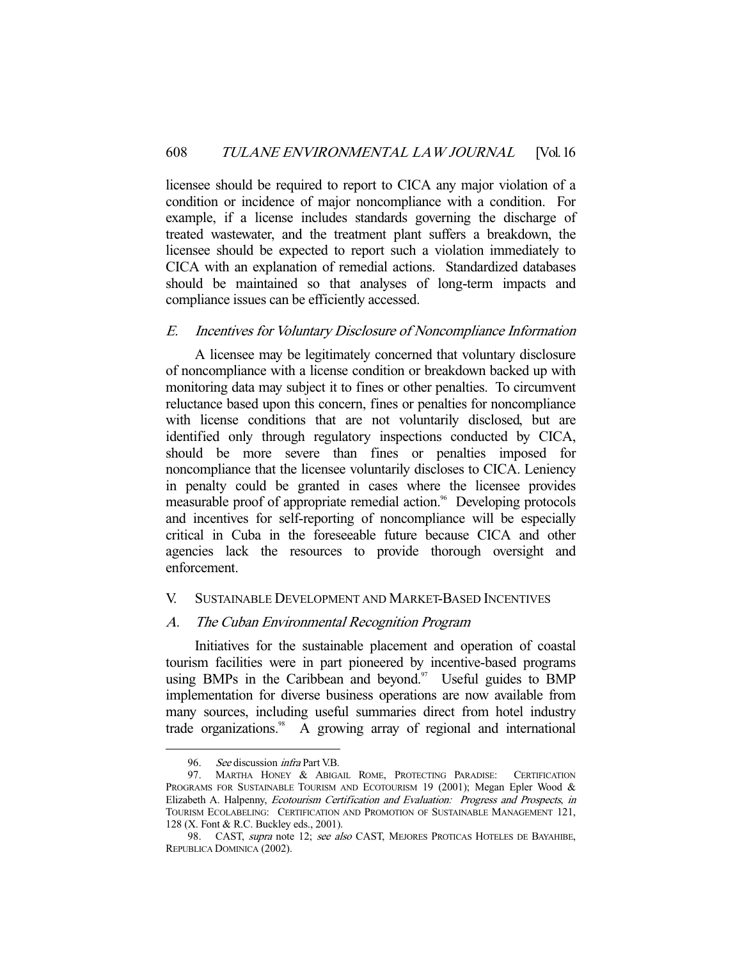licensee should be required to report to CICA any major violation of a condition or incidence of major noncompliance with a condition. For example, if a license includes standards governing the discharge of treated wastewater, and the treatment plant suffers a breakdown, the licensee should be expected to report such a violation immediately to CICA with an explanation of remedial actions. Standardized databases should be maintained so that analyses of long-term impacts and compliance issues can be efficiently accessed.

## E. Incentives for Voluntary Disclosure of Noncompliance Information

 A licensee may be legitimately concerned that voluntary disclosure of noncompliance with a license condition or breakdown backed up with monitoring data may subject it to fines or other penalties. To circumvent reluctance based upon this concern, fines or penalties for noncompliance with license conditions that are not voluntarily disclosed, but are identified only through regulatory inspections conducted by CICA, should be more severe than fines or penalties imposed for noncompliance that the licensee voluntarily discloses to CICA. Leniency in penalty could be granted in cases where the licensee provides measurable proof of appropriate remedial action.<sup>96</sup> Developing protocols and incentives for self-reporting of noncompliance will be especially critical in Cuba in the foreseeable future because CICA and other agencies lack the resources to provide thorough oversight and enforcement.

## V. SUSTAINABLE DEVELOPMENT AND MARKET-BASED INCENTIVES

## A. The Cuban Environmental Recognition Program

 Initiatives for the sustainable placement and operation of coastal tourism facilities were in part pioneered by incentive-based programs using BMPs in the Caribbean and beyond.<sup>97</sup> Useful guides to BMP implementation for diverse business operations are now available from many sources, including useful summaries direct from hotel industry trade organizations.<sup>98</sup> A growing array of regional and international

<sup>96.</sup> See discussion *infra* Part V.B.

 <sup>97.</sup> MARTHA HONEY & ABIGAIL ROME, PROTECTING PARADISE: CERTIFICATION PROGRAMS FOR SUSTAINABLE TOURISM AND ECOTOURISM 19 (2001); Megan Epler Wood & Elizabeth A. Halpenny, Ecotourism Certification and Evaluation: Progress and Prospects, in TOURISM ECOLABELING: CERTIFICATION AND PROMOTION OF SUSTAINABLE MANAGEMENT 121, 128 (X. Font & R.C. Buckley eds., 2001).

<sup>98.</sup> CAST, supra note 12; see also CAST, MEJORES PROTICAS HOTELES DE BAYAHIBE, REPUBLICA DOMINICA (2002).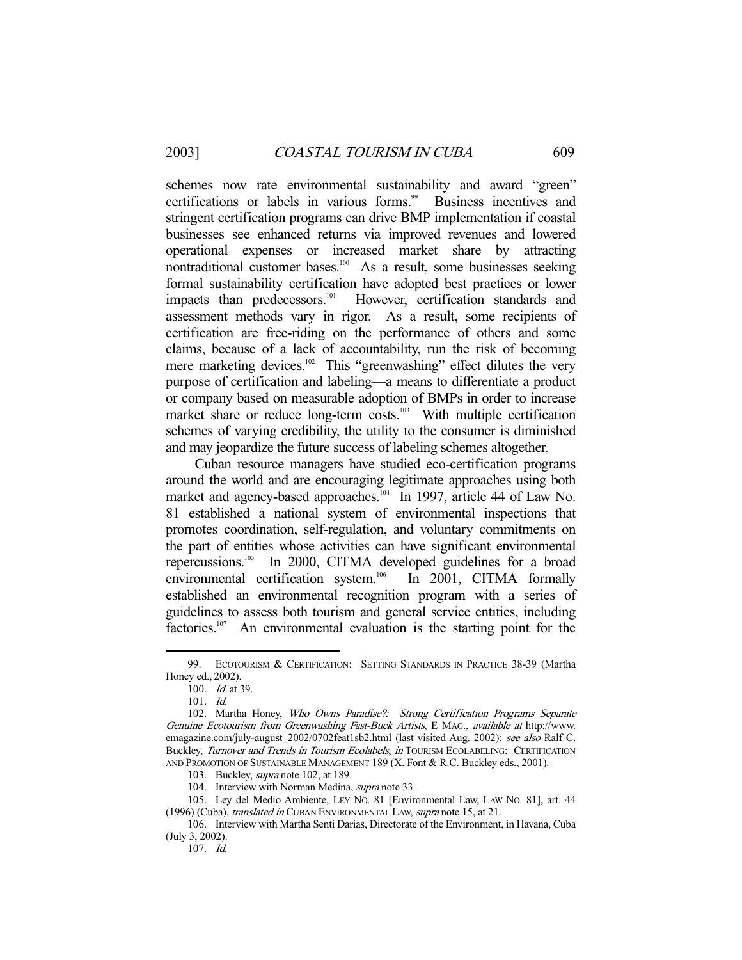schemes now rate environmental sustainability and award "green" certifications or labels in various forms.<sup>99</sup> Business incentives and stringent certification programs can drive BMP implementation if coastal businesses see enhanced returns via improved revenues and lowered operational expenses or increased market share by attracting nontraditional customer bases.<sup>100</sup> As a result, some businesses seeking formal sustainability certification have adopted best practices or lower impacts than predecessors.<sup>101</sup> However, certification standards and assessment methods vary in rigor. As a result, some recipients of certification are free-riding on the performance of others and some claims, because of a lack of accountability, run the risk of becoming mere marketing devices.<sup>102</sup> This "greenwashing" effect dilutes the very purpose of certification and labeling—a means to differentiate a product or company based on measurable adoption of BMPs in order to increase market share or reduce long-term costs.<sup>103</sup> With multiple certification schemes of varying credibility, the utility to the consumer is diminished and may jeopardize the future success of labeling schemes altogether.

 Cuban resource managers have studied eco-certification programs around the world and are encouraging legitimate approaches using both market and agency-based approaches.<sup>104</sup> In 1997, article 44 of Law No. 81 established a national system of environmental inspections that promotes coordination, self-regulation, and voluntary commitments on the part of entities whose activities can have significant environmental repercussions.105 In 2000, CITMA developed guidelines for a broad environmental certification system.<sup>106</sup> In 2001, CITMA formally established an environmental recognition program with a series of guidelines to assess both tourism and general service entities, including factories.<sup>107</sup> An environmental evaluation is the starting point for the

-

107. Id.

 <sup>99.</sup> ECOTOURISM & CERTIFICATION: SETTING STANDARDS IN PRACTICE 38-39 (Martha Honey ed., 2002).

 <sup>100.</sup> Id. at 39.

 <sup>101.</sup> Id.

 <sup>102.</sup> Martha Honey, Who Owns Paradise?: Strong Certification Programs Separate Genuine Ecotourism from Greenwashing Fast-Buck Artists, E MAG., available at http://www. emagazine.com/july-august\_2002/0702feat1sb2.html (last visited Aug. 2002); see also Ralf C. Buckley, Turnover and Trends in Tourism Ecolabels, in TOURISM ECOLABELING: CERTIFICATION AND PROMOTION OF SUSTAINABLE MANAGEMENT 189 (X. Font & R.C. Buckley eds., 2001).

<sup>103.</sup> Buckley, *supra* note 102, at 189.

<sup>104.</sup> Interview with Norman Medina, *supra* note 33.

 <sup>105.</sup> Ley del Medio Ambiente, LEY NO. 81 [Environmental Law, LAW NO. 81], art. 44 (1996) (Cuba), translated in CUBAN ENVIRONMENTAL LAW, supra note 15, at 21.

 <sup>106.</sup> Interview with Martha Senti Darias, Directorate of the Environment, in Havana, Cuba (July 3, 2002).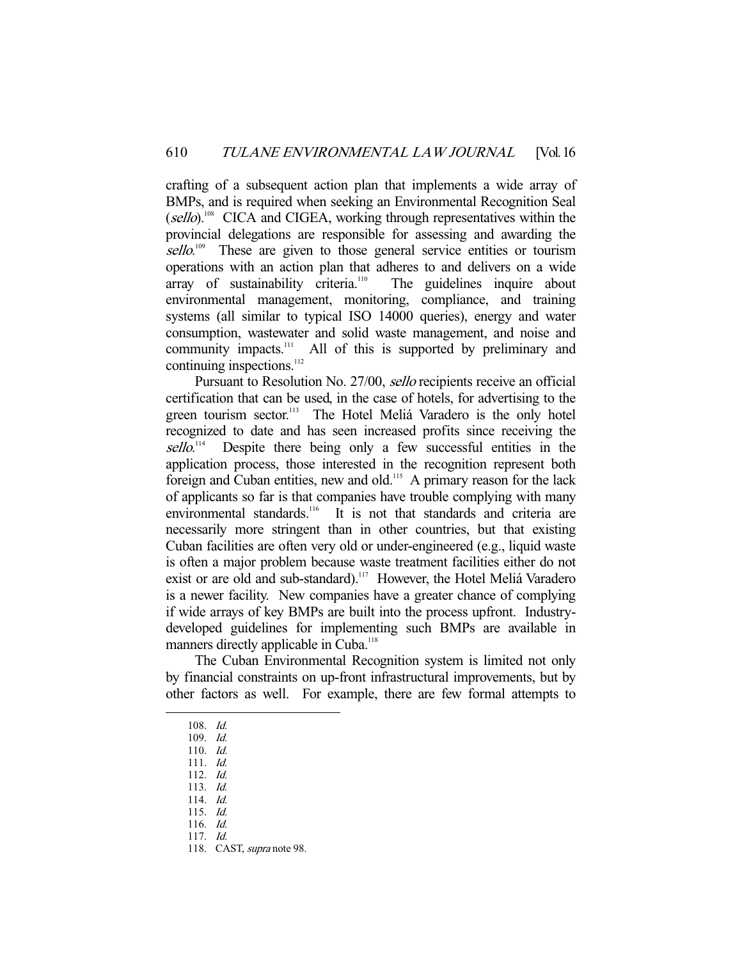crafting of a subsequent action plan that implements a wide array of BMPs, and is required when seeking an Environmental Recognition Seal (sello).<sup>108</sup> CICA and CIGEA, working through representatives within the provincial delegations are responsible for assessing and awarding the sello.<sup>109</sup> These are given to those general service entities or tourism operations with an action plan that adheres to and delivers on a wide array of sustainability criteria.<sup>110</sup> The guidelines inquire about environmental management, monitoring, compliance, and training systems (all similar to typical ISO 14000 queries), energy and water consumption, wastewater and solid waste management, and noise and community impacts.<sup>111</sup> All of this is supported by preliminary and continuing inspections.<sup>112</sup>

 Pursuant to Resolution No. 27/00, sello recipients receive an official certification that can be used, in the case of hotels, for advertising to the green tourism sector.<sup>113</sup> The Hotel Meliá Varadero is the only hotel recognized to date and has seen increased profits since receiving the sello. Despite there being only a few successful entities in the application process, those interested in the recognition represent both foreign and Cuban entities, new and old.<sup>115</sup> A primary reason for the lack of applicants so far is that companies have trouble complying with many environmental standards.<sup>116</sup> It is not that standards and criteria are necessarily more stringent than in other countries, but that existing Cuban facilities are often very old or under-engineered (e.g., liquid waste is often a major problem because waste treatment facilities either do not exist or are old and sub-standard).<sup>117</sup> However, the Hotel Meliá Varadero is a newer facility. New companies have a greater chance of complying if wide arrays of key BMPs are built into the process upfront. Industrydeveloped guidelines for implementing such BMPs are available in manners directly applicable in Cuba.<sup>118</sup>

 The Cuban Environmental Recognition system is limited not only by financial constraints on up-front infrastructural improvements, but by other factors as well. For example, there are few formal attempts to

 <sup>108.</sup> Id.

 <sup>109.</sup> Id.

 <sup>110.</sup> Id.

 <sup>111.</sup> Id.

 <sup>112.</sup> Id.

 <sup>113.</sup> Id.

 <sup>114.</sup> Id.

 <sup>115.</sup> Id.

 <sup>116.</sup> Id. 117. Id.

<sup>118.</sup> CAST, supra note 98.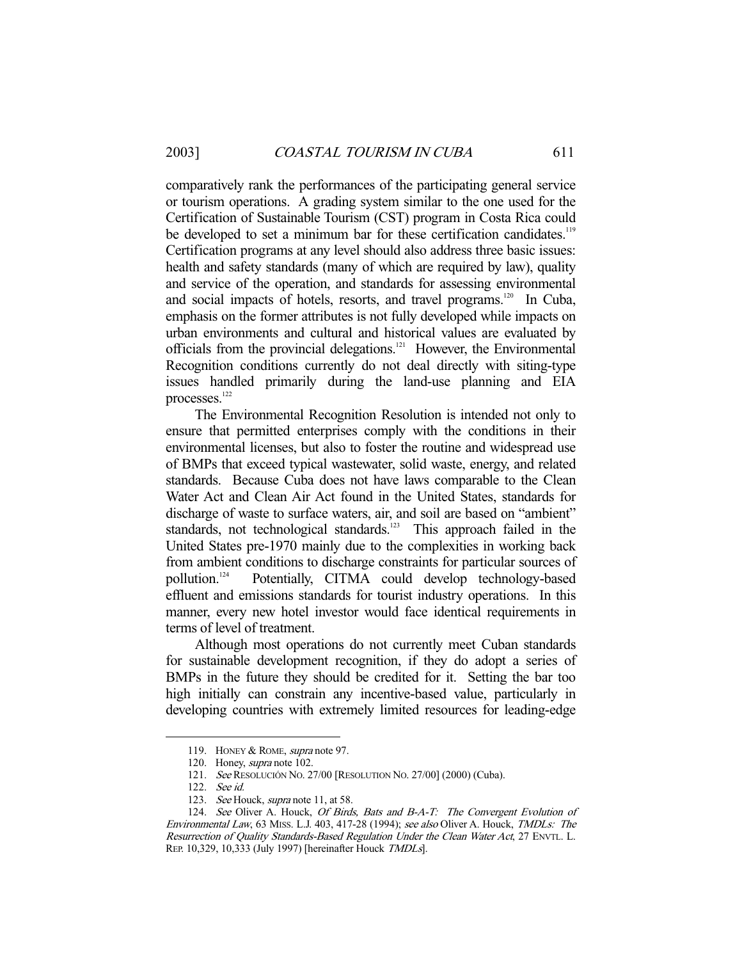comparatively rank the performances of the participating general service or tourism operations. A grading system similar to the one used for the Certification of Sustainable Tourism (CST) program in Costa Rica could be developed to set a minimum bar for these certification candidates.<sup>119</sup> Certification programs at any level should also address three basic issues: health and safety standards (many of which are required by law), quality and service of the operation, and standards for assessing environmental and social impacts of hotels, resorts, and travel programs.<sup>120</sup> In Cuba, emphasis on the former attributes is not fully developed while impacts on urban environments and cultural and historical values are evaluated by officials from the provincial delegations.<sup>121</sup> However, the Environmental Recognition conditions currently do not deal directly with siting-type issues handled primarily during the land-use planning and EIA processes.<sup>122</sup>

 The Environmental Recognition Resolution is intended not only to ensure that permitted enterprises comply with the conditions in their environmental licenses, but also to foster the routine and widespread use of BMPs that exceed typical wastewater, solid waste, energy, and related standards. Because Cuba does not have laws comparable to the Clean Water Act and Clean Air Act found in the United States, standards for discharge of waste to surface waters, air, and soil are based on "ambient" standards, not technological standards.<sup>123</sup> This approach failed in the United States pre-1970 mainly due to the complexities in working back from ambient conditions to discharge constraints for particular sources of pollution.124 Potentially, CITMA could develop technology-based effluent and emissions standards for tourist industry operations. In this manner, every new hotel investor would face identical requirements in terms of level of treatment.

 Although most operations do not currently meet Cuban standards for sustainable development recognition, if they do adopt a series of BMPs in the future they should be credited for it. Setting the bar too high initially can constrain any incentive-based value, particularly in developing countries with extremely limited resources for leading-edge

<sup>119.</sup> HONEY & ROME, *supra* note 97.

<sup>120.</sup> Honey, *supra* note 102.

 <sup>121.</sup> See RESOLUCIÓN NO. 27/00 [RESOLUTION NO. 27/00] (2000) (Cuba).

 <sup>122.</sup> See id.

<sup>123.</sup> See Houck, supra note 11, at 58.

<sup>124.</sup> See Oliver A. Houck, Of Birds, Bats and B-A-T: The Convergent Evolution of Environmental Law, 63 MISS. L.J. 403, 417-28 (1994); see also Oliver A. Houck, TMDLs: The Resurrection of Quality Standards-Based Regulation Under the Clean Water Act, 27 ENVTL. L. REP. 10,329, 10,333 (July 1997) [hereinafter Houck TMDLs].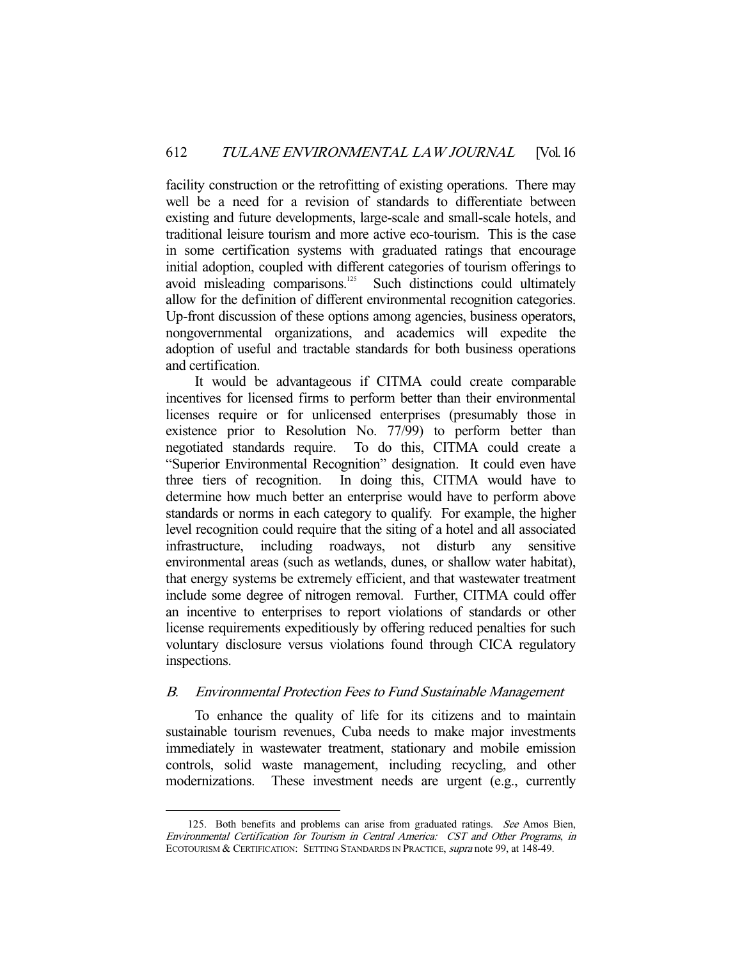facility construction or the retrofitting of existing operations. There may well be a need for a revision of standards to differentiate between existing and future developments, large-scale and small-scale hotels, and traditional leisure tourism and more active eco-tourism. This is the case in some certification systems with graduated ratings that encourage initial adoption, coupled with different categories of tourism offerings to avoid misleading comparisons.<sup>125</sup> Such distinctions could ultimately allow for the definition of different environmental recognition categories. Up-front discussion of these options among agencies, business operators, nongovernmental organizations, and academics will expedite the adoption of useful and tractable standards for both business operations and certification.

 It would be advantageous if CITMA could create comparable incentives for licensed firms to perform better than their environmental licenses require or for unlicensed enterprises (presumably those in existence prior to Resolution No. 77/99) to perform better than negotiated standards require. To do this, CITMA could create a "Superior Environmental Recognition" designation. It could even have three tiers of recognition. In doing this, CITMA would have to determine how much better an enterprise would have to perform above standards or norms in each category to qualify. For example, the higher level recognition could require that the siting of a hotel and all associated infrastructure, including roadways, not disturb any sensitive environmental areas (such as wetlands, dunes, or shallow water habitat), that energy systems be extremely efficient, and that wastewater treatment include some degree of nitrogen removal. Further, CITMA could offer an incentive to enterprises to report violations of standards or other license requirements expeditiously by offering reduced penalties for such voluntary disclosure versus violations found through CICA regulatory inspections.

#### B. Environmental Protection Fees to Fund Sustainable Management

 To enhance the quality of life for its citizens and to maintain sustainable tourism revenues, Cuba needs to make major investments immediately in wastewater treatment, stationary and mobile emission controls, solid waste management, including recycling, and other modernizations. These investment needs are urgent (e.g., currently

<sup>125.</sup> Both benefits and problems can arise from graduated ratings. See Amos Bien, Environmental Certification for Tourism in Central America: CST and Other Programs, in ECOTOURISM & CERTIFICATION: SETTING STANDARDS IN PRACTICE, supra note 99, at 148-49.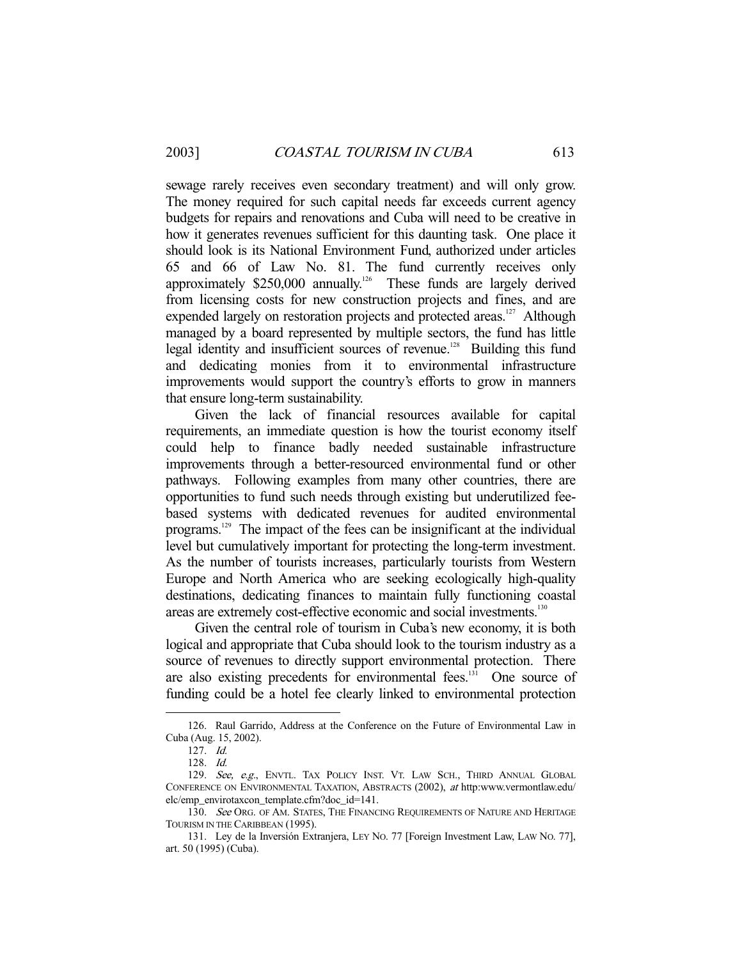sewage rarely receives even secondary treatment) and will only grow. The money required for such capital needs far exceeds current agency budgets for repairs and renovations and Cuba will need to be creative in how it generates revenues sufficient for this daunting task. One place it should look is its National Environment Fund, authorized under articles 65 and 66 of Law No. 81. The fund currently receives only approximately  $$250,000$  annually.<sup>126</sup> These funds are largely derived from licensing costs for new construction projects and fines, and are expended largely on restoration projects and protected areas.<sup>127</sup> Although managed by a board represented by multiple sectors, the fund has little legal identity and insufficient sources of revenue.<sup>128</sup> Building this fund and dedicating monies from it to environmental infrastructure improvements would support the country's efforts to grow in manners that ensure long-term sustainability.

 Given the lack of financial resources available for capital requirements, an immediate question is how the tourist economy itself could help to finance badly needed sustainable infrastructure improvements through a better-resourced environmental fund or other pathways. Following examples from many other countries, there are opportunities to fund such needs through existing but underutilized feebased systems with dedicated revenues for audited environmental programs.129 The impact of the fees can be insignificant at the individual level but cumulatively important for protecting the long-term investment. As the number of tourists increases, particularly tourists from Western Europe and North America who are seeking ecologically high-quality destinations, dedicating finances to maintain fully functioning coastal areas are extremely cost-effective economic and social investments.<sup>130</sup>

 Given the central role of tourism in Cuba's new economy, it is both logical and appropriate that Cuba should look to the tourism industry as a source of revenues to directly support environmental protection. There are also existing precedents for environmental fees.<sup>131</sup> One source of funding could be a hotel fee clearly linked to environmental protection

 <sup>126.</sup> Raul Garrido, Address at the Conference on the Future of Environmental Law in Cuba (Aug. 15, 2002).

 <sup>127.</sup> Id.

 <sup>128.</sup> Id.

<sup>129.</sup> See, e.g., ENVTL. TAX POLICY INST. VT. LAW SCH., THIRD ANNUAL GLOBAL CONFERENCE ON ENVIRONMENTAL TAXATION, ABSTRACTS (2002), at http:www.vermontlaw.edu/ elc/emp\_envirotaxcon\_template.cfm?doc\_id=141.

<sup>130.</sup> See ORG. OF AM. STATES, THE FINANCING REQUIREMENTS OF NATURE AND HERITAGE TOURISM IN THE CARIBBEAN (1995).

 <sup>131.</sup> Ley de la Inversión Extranjera, LEY NO. 77 [Foreign Investment Law, LAW NO. 77], art. 50 (1995) (Cuba).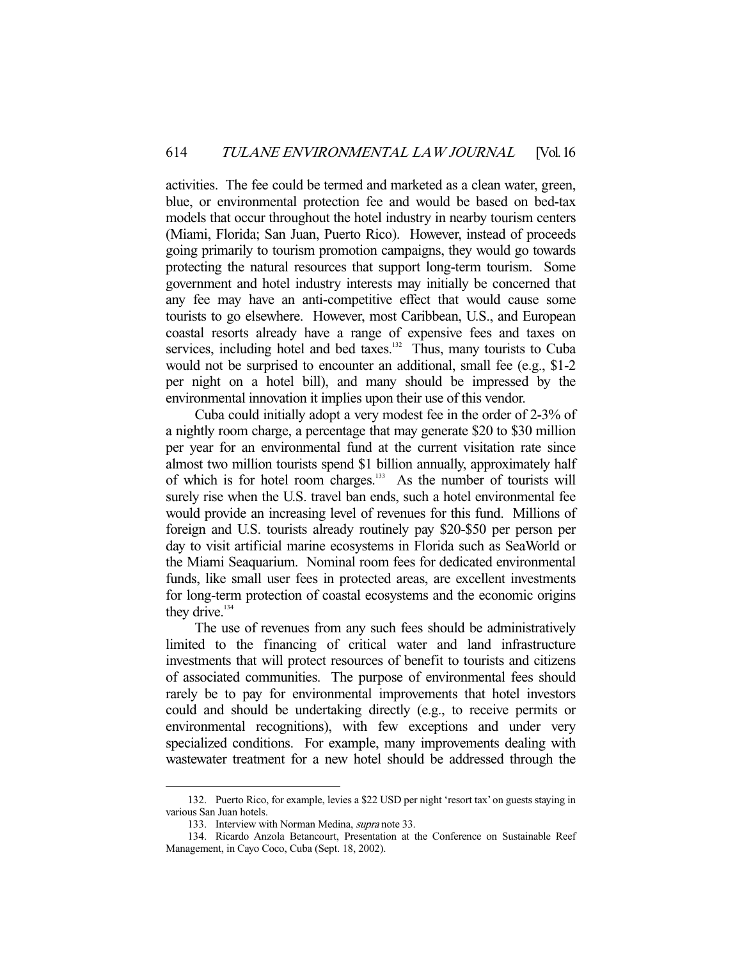activities. The fee could be termed and marketed as a clean water, green, blue, or environmental protection fee and would be based on bed-tax models that occur throughout the hotel industry in nearby tourism centers (Miami, Florida; San Juan, Puerto Rico). However, instead of proceeds going primarily to tourism promotion campaigns, they would go towards protecting the natural resources that support long-term tourism. Some government and hotel industry interests may initially be concerned that any fee may have an anti-competitive effect that would cause some tourists to go elsewhere. However, most Caribbean, U.S., and European coastal resorts already have a range of expensive fees and taxes on services, including hotel and bed taxes.<sup>132</sup> Thus, many tourists to Cuba would not be surprised to encounter an additional, small fee (e.g., \$1-2 per night on a hotel bill), and many should be impressed by the environmental innovation it implies upon their use of this vendor.

 Cuba could initially adopt a very modest fee in the order of 2-3% of a nightly room charge, a percentage that may generate \$20 to \$30 million per year for an environmental fund at the current visitation rate since almost two million tourists spend \$1 billion annually, approximately half of which is for hotel room charges.<sup>133</sup> As the number of tourists will surely rise when the U.S. travel ban ends, such a hotel environmental fee would provide an increasing level of revenues for this fund. Millions of foreign and U.S. tourists already routinely pay \$20-\$50 per person per day to visit artificial marine ecosystems in Florida such as SeaWorld or the Miami Seaquarium. Nominal room fees for dedicated environmental funds, like small user fees in protected areas, are excellent investments for long-term protection of coastal ecosystems and the economic origins they drive. $134$ 

 The use of revenues from any such fees should be administratively limited to the financing of critical water and land infrastructure investments that will protect resources of benefit to tourists and citizens of associated communities. The purpose of environmental fees should rarely be to pay for environmental improvements that hotel investors could and should be undertaking directly (e.g., to receive permits or environmental recognitions), with few exceptions and under very specialized conditions. For example, many improvements dealing with wastewater treatment for a new hotel should be addressed through the

 <sup>132.</sup> Puerto Rico, for example, levies a \$22 USD per night 'resort tax' on guests staying in various San Juan hotels.

<sup>133.</sup> Interview with Norman Medina, *supra* note 33.

 <sup>134.</sup> Ricardo Anzola Betancourt, Presentation at the Conference on Sustainable Reef Management, in Cayo Coco, Cuba (Sept. 18, 2002).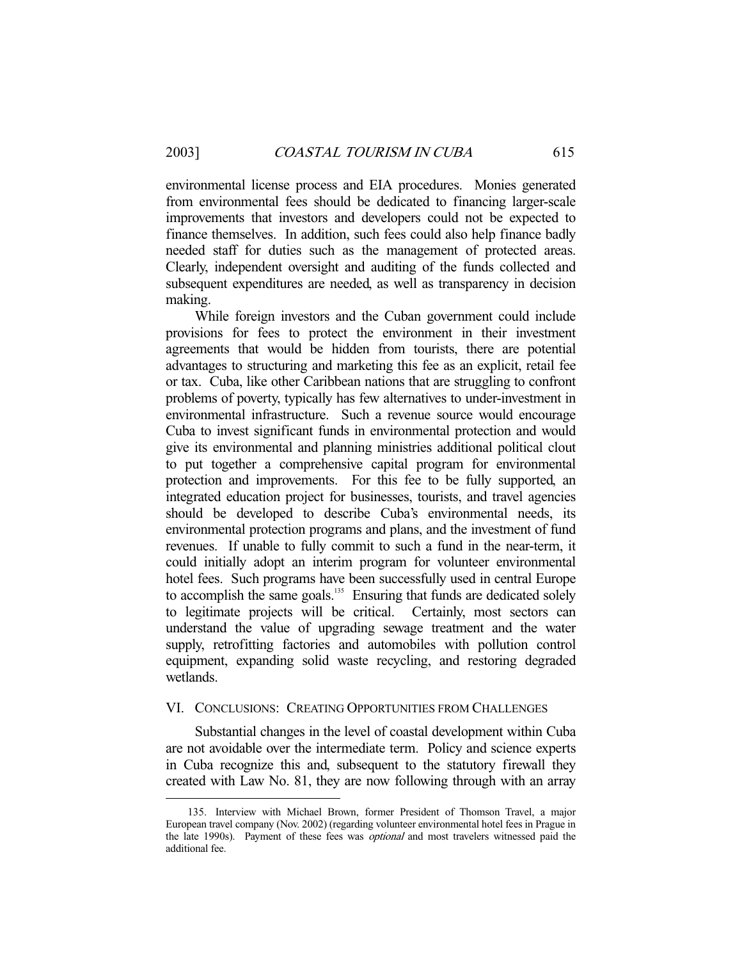-

environmental license process and EIA procedures. Monies generated from environmental fees should be dedicated to financing larger-scale improvements that investors and developers could not be expected to finance themselves. In addition, such fees could also help finance badly needed staff for duties such as the management of protected areas. Clearly, independent oversight and auditing of the funds collected and subsequent expenditures are needed, as well as transparency in decision making.

 While foreign investors and the Cuban government could include provisions for fees to protect the environment in their investment agreements that would be hidden from tourists, there are potential advantages to structuring and marketing this fee as an explicit, retail fee or tax. Cuba, like other Caribbean nations that are struggling to confront problems of poverty, typically has few alternatives to under-investment in environmental infrastructure. Such a revenue source would encourage Cuba to invest significant funds in environmental protection and would give its environmental and planning ministries additional political clout to put together a comprehensive capital program for environmental protection and improvements. For this fee to be fully supported, an integrated education project for businesses, tourists, and travel agencies should be developed to describe Cuba's environmental needs, its environmental protection programs and plans, and the investment of fund revenues. If unable to fully commit to such a fund in the near-term, it could initially adopt an interim program for volunteer environmental hotel fees. Such programs have been successfully used in central Europe to accomplish the same goals.<sup>135</sup> Ensuring that funds are dedicated solely to legitimate projects will be critical. Certainly, most sectors can understand the value of upgrading sewage treatment and the water supply, retrofitting factories and automobiles with pollution control equipment, expanding solid waste recycling, and restoring degraded wetlands.

## VI. CONCLUSIONS: CREATING OPPORTUNITIES FROM CHALLENGES

 Substantial changes in the level of coastal development within Cuba are not avoidable over the intermediate term. Policy and science experts in Cuba recognize this and, subsequent to the statutory firewall they created with Law No. 81, they are now following through with an array

 <sup>135.</sup> Interview with Michael Brown, former President of Thomson Travel, a major European travel company (Nov. 2002) (regarding volunteer environmental hotel fees in Prague in the late 1990s). Payment of these fees was *optional* and most travelers witnessed paid the additional fee.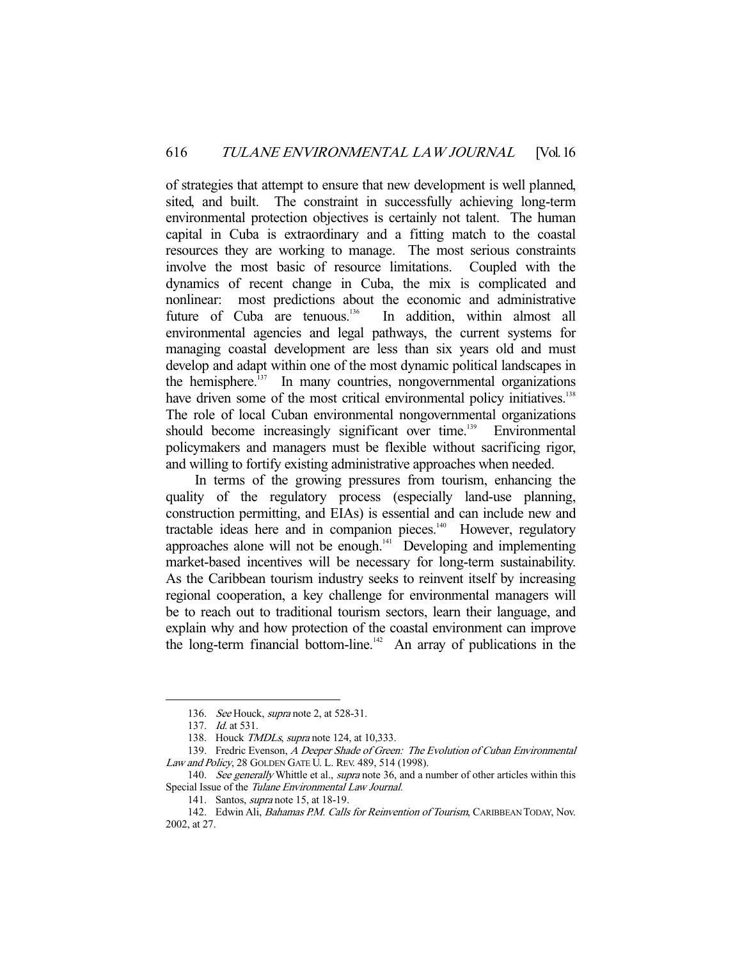of strategies that attempt to ensure that new development is well planned, sited, and built. The constraint in successfully achieving long-term environmental protection objectives is certainly not talent. The human capital in Cuba is extraordinary and a fitting match to the coastal resources they are working to manage. The most serious constraints involve the most basic of resource limitations. Coupled with the dynamics of recent change in Cuba, the mix is complicated and nonlinear: most predictions about the economic and administrative future of Cuba are tenuous.<sup>136</sup> In addition, within almost all environmental agencies and legal pathways, the current systems for managing coastal development are less than six years old and must develop and adapt within one of the most dynamic political landscapes in the hemisphere.<sup>137</sup> In many countries, nongovernmental organizations have driven some of the most critical environmental policy initiatives.<sup>138</sup> The role of local Cuban environmental nongovernmental organizations should become increasingly significant over time.<sup>139</sup> Environmental policymakers and managers must be flexible without sacrificing rigor, and willing to fortify existing administrative approaches when needed.

 In terms of the growing pressures from tourism, enhancing the quality of the regulatory process (especially land-use planning, construction permitting, and EIAs) is essential and can include new and tractable ideas here and in companion pieces.<sup>140</sup> However, regulatory approaches alone will not be enough. $141$  Developing and implementing market-based incentives will be necessary for long-term sustainability. As the Caribbean tourism industry seeks to reinvent itself by increasing regional cooperation, a key challenge for environmental managers will be to reach out to traditional tourism sectors, learn their language, and explain why and how protection of the coastal environment can improve the long-term financial bottom-line.<sup>142</sup> An array of publications in the

<sup>136.</sup> See Houck, *supra* note 2, at 528-31.

<sup>137.</sup> *Id.* at 531.

<sup>138.</sup> Houck *TMDLs, supra* note 124, at 10,333.

<sup>139.</sup> Fredric Evenson, A Deeper Shade of Green: The Evolution of Cuban Environmental Law and Policy, 28 GOLDEN GATE U. L. REV. 489, 514 (1998).

<sup>140.</sup> See generally Whittle et al., supra note 36, and a number of other articles within this Special Issue of the Tulane Environmental Law Journal.

 <sup>141.</sup> Santos, supra note 15, at 18-19.

<sup>142.</sup> Edwin Ali, Bahamas P.M. Calls for Reinvention of Tourism, CARIBBEAN TODAY, Nov. 2002, at 27.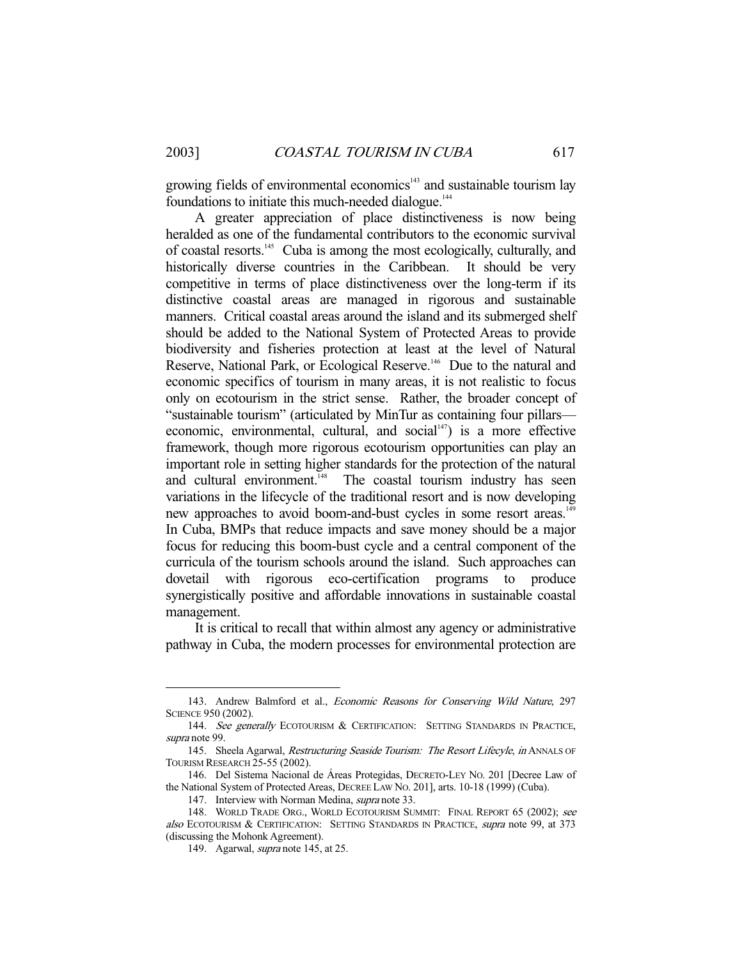growing fields of environmental economics<sup>143</sup> and sustainable tourism lay foundations to initiate this much-needed dialogue.<sup>144</sup>

 A greater appreciation of place distinctiveness is now being heralded as one of the fundamental contributors to the economic survival of coastal resorts.145 Cuba is among the most ecologically, culturally, and historically diverse countries in the Caribbean. It should be very competitive in terms of place distinctiveness over the long-term if its distinctive coastal areas are managed in rigorous and sustainable manners. Critical coastal areas around the island and its submerged shelf should be added to the National System of Protected Areas to provide biodiversity and fisheries protection at least at the level of Natural Reserve, National Park, or Ecological Reserve.<sup>146</sup> Due to the natural and economic specifics of tourism in many areas, it is not realistic to focus only on ecotourism in the strict sense. Rather, the broader concept of "sustainable tourism" (articulated by MinTur as containing four pillars economic, environmental, cultural, and social $147$ ) is a more effective framework, though more rigorous ecotourism opportunities can play an important role in setting higher standards for the protection of the natural and cultural environment.<sup>148</sup> The coastal tourism industry has seen variations in the lifecycle of the traditional resort and is now developing new approaches to avoid boom-and-bust cycles in some resort areas.<sup>149</sup> In Cuba, BMPs that reduce impacts and save money should be a major focus for reducing this boom-bust cycle and a central component of the curricula of the tourism schools around the island. Such approaches can dovetail with rigorous eco-certification programs to produce synergistically positive and affordable innovations in sustainable coastal management.

 It is critical to recall that within almost any agency or administrative pathway in Cuba, the modern processes for environmental protection are

<sup>143.</sup> Andrew Balmford et al., *Economic Reasons for Conserving Wild Nature*, 297 SCIENCE 950 (2002).

<sup>144.</sup> See generally ECOTOURISM & CERTIFICATION: SETTING STANDARDS IN PRACTICE, supra note 99.

<sup>145.</sup> Sheela Agarwal, Restructuring Seaside Tourism: The Resort Lifecyle, in ANNALS OF TOURISM RESEARCH 25-55 (2002).

 <sup>146.</sup> Del Sistema Nacional de Áreas Protegidas, DECRETO-LEY NO. 201 [Decree Law of the National System of Protected Areas, DECREE LAW NO. 201], arts. 10-18 (1999) (Cuba).

<sup>147.</sup> Interview with Norman Medina, *supra* note 33.

<sup>148.</sup> WORLD TRADE ORG., WORLD ECOTOURISM SUMMIT: FINAL REPORT 65 (2002); see also ECOTOURISM & CERTIFICATION: SETTING STANDARDS IN PRACTICE, supra note 99, at 373 (discussing the Mohonk Agreement).

<sup>149.</sup> Agarwal, *supra* note 145, at 25.